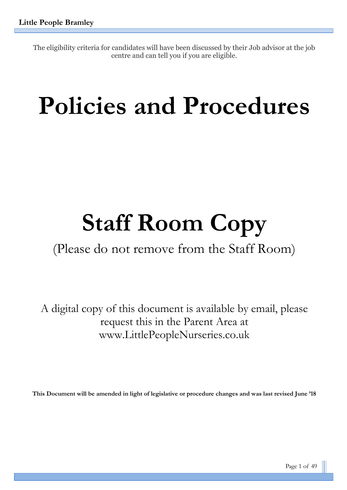The eligibility criteria for candidates will have been discussed by their Job advisor at the job centre and can tell you if you are eligible.

# **Policies and Procedures**

# **Staff Room Copy**

(Please do not remove from the Staff Room)

A digital copy of this document is available by email, please request this in the Parent Area at www.LittlePeopleNurseries.co.uk

**This Document will be amended in light of legislative or procedure changes and was last revised June '18**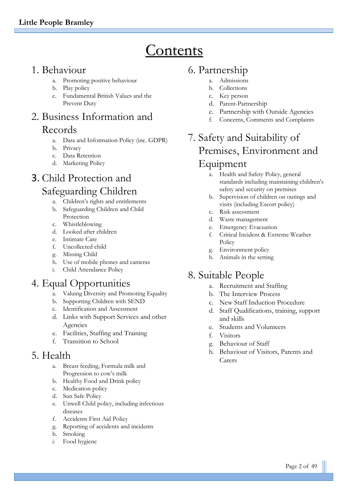# **Contents**

# 1. Behaviour

- a. Promoting positive behaviour
- b. Play policy
- c. Fundamental British Values and the Prevent Duty

# 2. Business Information and Records

- a. Data and Information Policy (inc. GDPR)
- b. Privacy
- c. Data Retention
- d. Marketing Policy

# 3. Child Protection and Safeguarding Children

- a. Children's rights and entitlements
- b. Safeguarding Children and Child Protection
- c. Whistleblowing
- d. Looked after children
- e. Intimate Care
- f. Uncollected child
- g. Missing Child
- h. Use of mobile phones and cameras
- i. Child Attendance Policy

# 4. Equal Opportunities

- a. Valuing Diversity and Promoting Equality
- b. Supporting Children with SEND
- c. Identification and Assessment
- d. Links with Support Services and other Agencies
- e. Facilities, Staffing and Training
- f. Transition to School

# 5. Health

- a. Breast feeding, Formula milk and Progression to cow's milk
- b. Healthy Food and Drink policy
- c. Medication policy
- d. Sun Safe Policy
- e. Unwell Child policy, including infectious diseases
- f. Accidents First Aid Policy
- g. Reporting of accidents and incidents
- h. Smoking
- i. Food hygiene

# 6. Partnership

- a. Admissions
- b. Collections
- c. Key person
- d. Parent-Partnership
- e. Partnership with Outside Agencies
- f. Concerns, Comments and Complaints

# 7. Safety and Suitability of Premises, Environment and Equipment

- a. Health and Safety Policy, general standards including maintaining children's safety and security on premises
- b. Supervision of children on outings and visits (including Escort policy)
- c. Risk assessment
- d. Waste management
- e. Emergency Evacuation
- f. Critical Incident & Extreme Weather Policy
- g. Environment policy
- h. Animals in the setting

# 8. Suitable People

- a. Recruitment and Staffing
- b. The Interview Process
- c. New Staff Induction Procedure
- d. Staff Qualifications, training, support and skills
- e. Students and Volunteers
- f. Visitors
- g. Behaviour of Staff
- h. Behaviour of Visitors, Parents and Carers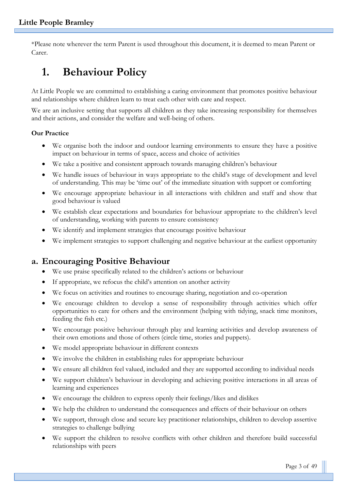\*Please note wherever the term Parent is used throughout this document, it is deemed to mean Parent or Carer.

# **1. Behaviour Policy**

At Little People we are committed to establishing a caring environment that promotes positive behaviour and relationships where children learn to treat each other with care and respect.

We are an inclusive setting that supports all children as they take increasing responsibility for themselves and their actions, and consider the welfare and well-being of others.

#### **Our Practice**

- We organise both the indoor and outdoor learning environments to ensure they have a positive impact on behaviour in terms of space, access and choice of activities
- We take a positive and consistent approach towards managing children's behaviour
- We handle issues of behaviour in ways appropriate to the child's stage of development and level of understanding. This may be 'time out' of the immediate situation with support or comforting
- We encourage appropriate behaviour in all interactions with children and staff and show that good behaviour is valued
- We establish clear expectations and boundaries for behaviour appropriate to the children's level of understanding, working with parents to ensure consistency
- We identify and implement strategies that encourage positive behaviour
- We implement strategies to support challenging and negative behaviour at the earliest opportunity

# **a. Encouraging Positive Behaviour**

- We use praise specifically related to the children's actions or behaviour
- If appropriate, we refocus the child's attention on another activity
- We focus on activities and routines to encourage sharing, negotiation and co-operation
- We encourage children to develop a sense of responsibility through activities which offer opportunities to care for others and the environment (helping with tidying, snack time monitors, feeding the fish etc.)
- We encourage positive behaviour through play and learning activities and develop awareness of their own emotions and those of others (circle time, stories and puppets).
- We model appropriate behaviour in different contexts
- We involve the children in establishing rules for appropriate behaviour
- We ensure all children feel valued, included and they are supported according to individual needs
- We support children's behaviour in developing and achieving positive interactions in all areas of learning and experiences
- We encourage the children to express openly their feelings/likes and dislikes
- We help the children to understand the consequences and effects of their behaviour on others
- We support, through close and secure key practitioner relationships, children to develop assertive strategies to challenge bullying
- We support the children to resolve conflicts with other children and therefore build successful relationships with peers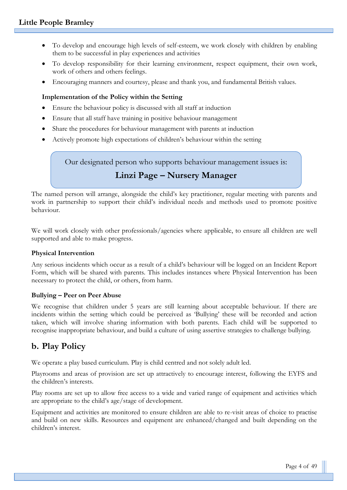- To develop and encourage high levels of self-esteem, we work closely with children by enabling them to be successful in play experiences and activities
- To develop responsibility for their learning environment, respect equipment, their own work, work of others and others feelings.
- Encouraging manners and courtesy, please and thank you, and fundamental British values.

#### **Implementation of the Policy within the Setting**

- Ensure the behaviour policy is discussed with all staff at induction
- Ensure that all staff have training in positive behaviour management
- Share the procedures for behaviour management with parents at induction
- Actively promote high expectations of children's behaviour within the setting

Our designated person who supports behaviour management issues is:

# **Linzi Page – Nursery Manager**

The named person will arrange, alongside the child's key practitioner, regular meeting with parents and work in partnership to support their child's individual needs and methods used to promote positive behaviour.

We will work closely with other professionals/agencies where applicable, to ensure all children are well supported and able to make progress.

#### **Physical Intervention**

Any serious incidents which occur as a result of a child's behaviour will be logged on an Incident Report Form, which will be shared with parents. This includes instances where Physical Intervention has been necessary to protect the child, or others, from harm.

#### **Bullying – Peer on Peer Abuse**

We recognise that children under 5 years are still learning about acceptable behaviour. If there are incidents within the setting which could be perceived as 'Bullying' these will be recorded and action taken, which will involve sharing information with both parents. Each child will be supported to recognise inappropriate behaviour, and build a culture of using assertive strategies to challenge bullying.

# **b. Play Policy**

We operate a play based curriculum. Play is child centred and not solely adult led.

Playrooms and areas of provision are set up attractively to encourage interest, following the EYFS and the children's interests.

Play rooms are set up to allow free access to a wide and varied range of equipment and activities which are appropriate to the child's age/stage of development.

Equipment and activities are monitored to ensure children are able to re-visit areas of choice to practise and build on new skills. Resources and equipment are enhanced/changed and built depending on the children's interest.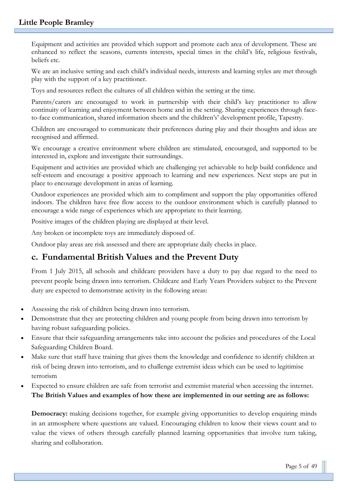Equipment and activities are provided which support and promote each area of development. These are enhanced to reflect the seasons, currents interests, special times in the child's life, religious festivals, beliefs etc.

We are an inclusive setting and each child's individual needs, interests and learning styles are met through play with the support of a key practitioner.

Toys and resources reflect the cultures of all children within the setting at the time.

Parents/carers are encouraged to work in partnership with their child's key practitioner to allow continuity of learning and enjoyment between home and in the setting. Sharing experiences through faceto-face communication, shared information sheets and the children's' development profile, Tapestry.

Children are encouraged to communicate their preferences during play and their thoughts and ideas are recognised and affirmed.

We encourage a creative environment where children are stimulated, encouraged, and supported to be interested in, explore and investigate their surroundings.

Equipment and activities are provided which are challenging yet achievable to help build confidence and self-esteem and encourage a positive approach to learning and new experiences. Next steps are put in place to encourage development in areas of learning.

Outdoor experiences are provided which aim to compliment and support the play opportunities offered indoors. The children have free flow access to the outdoor environment which is carefully planned to encourage a wide range of experiences which are appropriate to their learning.

Positive images of the children playing are displayed at their level.

Any broken or incomplete toys are immediately disposed of.

Outdoor play areas are risk assessed and there are appropriate daily checks in place.

# **c. Fundamental British Values and the Prevent Duty**

From 1 July 2015, all schools and childcare providers have a duty to pay due regard to the need to prevent people being drawn into terrorism. Childcare and Early Years Providers subject to the Prevent duty are expected to demonstrate activity in the following areas:

- Assessing the risk of children being drawn into terrorism.
- Demonstrate that they are protecting children and young people from being drawn into terrorism by having robust safeguarding policies.
- Ensure that their safeguarding arrangements take into account the policies and procedures of the Local Safeguarding Children Board.
- Make sure that staff have training that gives them the knowledge and confidence to identify children at risk of being drawn into terrorism, and to challenge extremist ideas which can be used to legitimise terrorism
- Expected to ensure children are safe from terrorist and extremist material when accessing the internet. **The British Values and examples of how these are implemented in our setting are as follows:**

**Democracy:** making decisions together, for example giving opportunities to develop enquiring minds in an atmosphere where questions are valued. Encouraging children to know their views count and to value the views of others through carefully planned learning opportunities that involve turn taking, sharing and collaboration.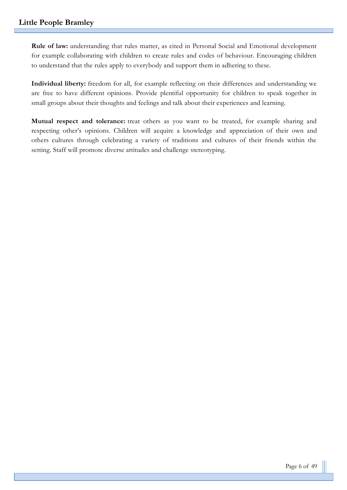**Rule of law:** understanding that rules matter, as cited in Personal Social and Emotional development for example collaborating with children to create rules and codes of behaviour. Encouraging children to understand that the rules apply to everybody and support them in adhering to these.

**Individual liberty:** freedom for all, for example reflecting on their differences and understanding we are free to have different opinions. Provide plentiful opportunity for children to speak together in small groups about their thoughts and feelings and talk about their experiences and learning.

**Mutual respect and tolerance:** treat others as you want to be treated, for example sharing and respecting other's opinions. Children will acquire a knowledge and appreciation of their own and others cultures through celebrating a variety of traditions and cultures of their friends within the setting. Staff will promote diverse attitudes and challenge stereotyping.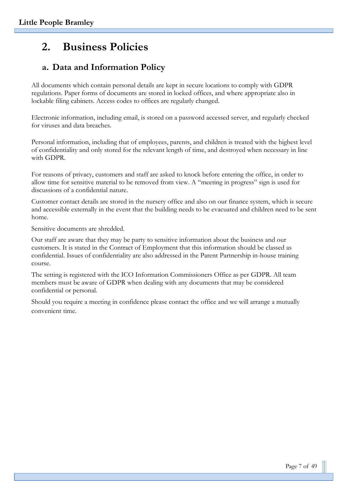# **2. Business Policies**

# **a. Data and Information Policy**

All documents which contain personal details are kept in secure locations to comply with GDPR regulations. Paper forms of documents are stored in locked offices, and where appropriate also in lockable filing cabinets. Access codes to offices are regularly changed.

Electronic information, including email, is stored on a password accessed server, and regularly checked for viruses and data breaches.

Personal information, including that of employees, parents, and children is treated with the highest level of confidentiality and only stored for the relevant length of time, and destroyed when necessary in line with GDPR.

For reasons of privacy, customers and staff are asked to knock before entering the office, in order to allow time for sensitive material to be removed from view. A "meeting in progress" sign is used for discussions of a confidential nature.

Customer contact details are stored in the nursery office and also on our finance system, which is secure and accessible externally in the event that the building needs to be evacuated and children need to be sent home.

Sensitive documents are shredded.

Our staff are aware that they may be party to sensitive information about the business and our customers. It is stated in the Contract of Employment that this information should be classed as confidential. Issues of confidentiality are also addressed in the Parent Partnership in-house training course.

The setting is registered with the ICO Information Commissioners Office as per GDPR. All team members must be aware of GDPR when dealing with any documents that may be considered confidential or personal.

Should you require a meeting in confidence please contact the office and we will arrange a mutually convenient time.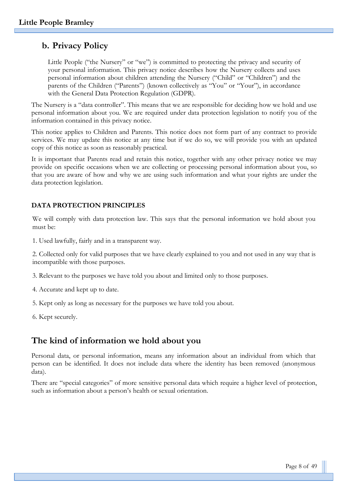## **b. Privacy Policy**

Little People ("the Nursery" or "we") is committed to protecting the privacy and security of your personal information. This privacy notice describes how the Nursery collects and uses personal information about children attending the Nursery ("Child" or "Children") and the parents of the Children ("Parents") (known collectively as "You" or "Your"), in accordance with the General Data Protection Regulation (GDPR).

The Nursery is a "data controller". This means that we are responsible for deciding how we hold and use personal information about you. We are required under data protection legislation to notify you of the information contained in this privacy notice.

This notice applies to Children and Parents. This notice does not form part of any contract to provide services. We may update this notice at any time but if we do so, we will provide you with an updated copy of this notice as soon as reasonably practical.

It is important that Parents read and retain this notice, together with any other privacy notice we may provide on specific occasions when we are collecting or processing personal information about you, so that you are aware of how and why we are using such information and what your rights are under the data protection legislation.

#### **DATA PROTECTION PRINCIPLES**

We will comply with data protection law. This says that the personal information we hold about you must be:

1. Used lawfully, fairly and in a transparent way.

2. Collected only for valid purposes that we have clearly explained to you and not used in any way that is incompatible with those purposes.

3. Relevant to the purposes we have told you about and limited only to those purposes.

- 4. Accurate and kept up to date.
- 5. Kept only as long as necessary for the purposes we have told you about.
- 6. Kept securely.

### **The kind of information we hold about you**

Personal data, or personal information, means any information about an individual from which that person can be identified. It does not include data where the identity has been removed (anonymous data).

There are "special categories" of more sensitive personal data which require a higher level of protection, such as information about a person's health or sexual orientation.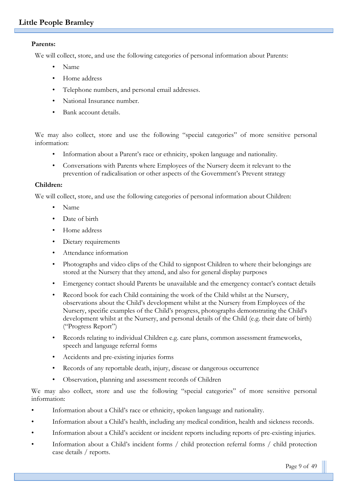#### **Parents:**

We will collect, store, and use the following categories of personal information about Parents:

- Name
- Home address
- Telephone numbers, and personal email addresses.
- National Insurance number.
- Bank account details.

We may also collect, store and use the following "special categories" of more sensitive personal information:

- Information about a Parent's race or ethnicity, spoken language and nationality.
- Conversations with Parents where Employees of the Nursery deem it relevant to the prevention of radicalisation or other aspects of the Government's Prevent strategy

#### **Children:**

We will collect, store, and use the following categories of personal information about Children:

- Name
- Date of birth
- Home address
- Dietary requirements
- Attendance information
- Photographs and video clips of the Child to signpost Children to where their belongings are stored at the Nursery that they attend, and also for general display purposes
- Emergency contact should Parents be unavailable and the emergency contact's contact details
- Record book for each Child containing the work of the Child whilst at the Nursery, observations about the Child's development whilst at the Nursery from Employees of the Nursery, specific examples of the Child's progress, photographs demonstrating the Child's development whilst at the Nursery, and personal details of the Child (e.g. their date of birth) ("Progress Report")
- Records relating to individual Children e.g. care plans, common assessment frameworks, speech and language referral forms
- Accidents and pre-existing injuries forms
- Records of any reportable death, injury, disease or dangerous occurrence
- Observation, planning and assessment records of Children

We may also collect, store and use the following "special categories" of more sensitive personal information:

- Information about a Child's race or ethnicity, spoken language and nationality.
- Information about a Child's health, including any medical condition, health and sickness records.
- Information about a Child's accident or incident reports including reports of pre-existing injuries.
- Information about a Child's incident forms / child protection referral forms / child protection case details / reports.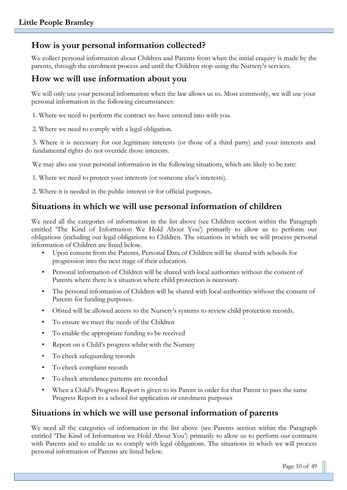# **How is your personal information collected?**

We collect personal information about Children and Parents from when the initial enquiry is made by the parents, through the enrolment process and until the Children stop using the Nursery's services.

## **How we will use information about you**

We will only use your personal information when the law allows us to. Most commonly, we will use your personal information in the following circumstances:

1. Where we need to perform the contract we have entered into with you.

2. Where we need to comply with a legal obligation.

3. Where it is necessary for our legitimate interests (or those of a third party) and your interests and fundamental rights do not override those interests.

We may also use your personal information in the following situations, which are likely to be rare:

1. Where we need to protect your interests (or someone else's interests).

2. Where it is needed in the public interest or for official purposes.

# **Situations in which we will use personal information of children**

We need all the categories of information in the list above (see Children section within the Paragraph entitled 'The Kind of Information We Hold About You') primarily to allow us to perform our obligations (including our legal obligations to Children. The situations in which we will process personal information of Children are listed below.

- Upon consent from the Parents, Personal Data of Children will be shared with schools for progression into the next stage of their education.
- Personal information of Children will be shared with local authorities without the consent of Parents where there is a situation where child protection is necessary.
- The personal information of Children will be shared with local authorities without the consent of Parents for funding purposes.
- Ofsted will be allowed access to the Nursery's systems to review child protection records.
- To ensure we meet the needs of the Children
- To enable the appropriate funding to be received
- Report on a Child's progress whilst with the Nursery
- To check safeguarding records
- To check complaint records
- To check attendance patterns are recorded
- When a Child's Progress Report is given to its Parent in order for that Parent to pass the same Progress Report to a school for application or enrolment purposes

# **Situations in which we will use personal information of parents**

We need all the categories of information in the list above (see Parents section within the Paragraph entitled 'The Kind of Information we Hold About You') primarily to allow us to perform our contracts with Parents and to enable us to comply with legal obligations. The situations in which we will process personal information of Parents are listed below.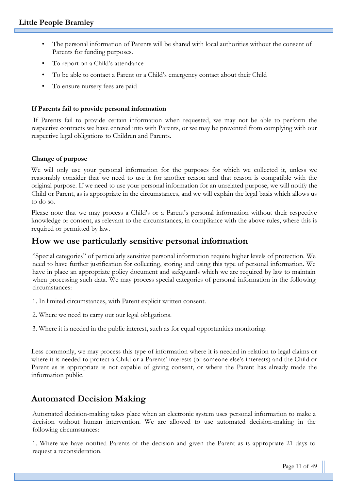- The personal information of Parents will be shared with local authorities without the consent of Parents for funding purposes.
- To report on a Child's attendance
- To be able to contact a Parent or a Child's emergency contact about their Child
- To ensure nursery fees are paid

#### **If Parents fail to provide personal information**

If Parents fail to provide certain information when requested, we may not be able to perform the respective contracts we have entered into with Parents, or we may be prevented from complying with our respective legal obligations to Children and Parents.

#### **Change of purpose**

We will only use your personal information for the purposes for which we collected it, unless we reasonably consider that we need to use it for another reason and that reason is compatible with the original purpose. If we need to use your personal information for an unrelated purpose, we will notify the Child or Parent, as is appropriate in the circumstances, and we will explain the legal basis which allows us to do so.

Please note that we may process a Child's or a Parent's personal information without their respective knowledge or consent, as relevant to the circumstances, in compliance with the above rules, where this is required or permitted by law.

## **How we use particularly sensitive personal information**

"Special categories" of particularly sensitive personal information require higher levels of protection. We need to have further justification for collecting, storing and using this type of personal information. We have in place an appropriate policy document and safeguards which we are required by law to maintain when processing such data. We may process special categories of personal information in the following circumstances:

- 1. In limited circumstances, with Parent explicit written consent.
- 2. Where we need to carry out our legal obligations.

3. Where it is needed in the public interest, such as for equal opportunities monitoring.

Less commonly, we may process this type of information where it is needed in relation to legal claims or where it is needed to protect a Child or a Parents' interests (or someone else's interests) and the Child or Parent as is appropriate is not capable of giving consent, or where the Parent has already made the information public.

# **Automated Decision Making**

Automated decision-making takes place when an electronic system uses personal information to make a decision without human intervention. We are allowed to use automated decision-making in the following circumstances:

1. Where we have notified Parents of the decision and given the Parent as is appropriate 21 days to request a reconsideration.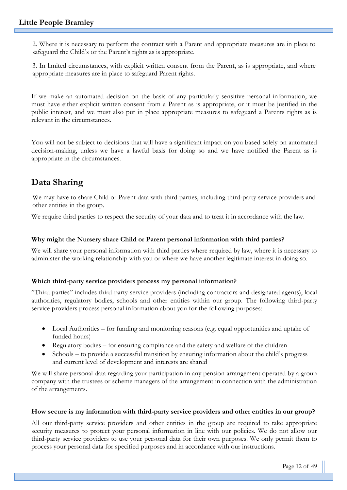2. Where it is necessary to perform the contract with a Parent and appropriate measures are in place to safeguard the Child's or the Parent's rights as is appropriate.

3. In limited circumstances, with explicit written consent from the Parent, as is appropriate, and where appropriate measures are in place to safeguard Parent rights.

If we make an automated decision on the basis of any particularly sensitive personal information, we must have either explicit written consent from a Parent as is appropriate, or it must be justified in the public interest, and we must also put in place appropriate measures to safeguard a Parents rights as is relevant in the circumstances.

You will not be subject to decisions that will have a significant impact on you based solely on automated decision-making, unless we have a lawful basis for doing so and we have notified the Parent as is appropriate in the circumstances.

# **Data Sharing**

We may have to share Child or Parent data with third parties, including third-party service providers and other entities in the group.

We require third parties to respect the security of your data and to treat it in accordance with the law.

#### **Why might the Nursery share Child or Parent personal information with third parties?**

We will share your personal information with third parties where required by law, where it is necessary to administer the working relationship with you or where we have another legitimate interest in doing so.

#### **Which third-party service providers process my personal information?**

"Third parties" includes third-party service providers (including contractors and designated agents), local authorities, regulatory bodies, schools and other entities within our group. The following third-party service providers process personal information about you for the following purposes:

- Local Authorities for funding and monitoring reasons (e.g. equal opportunities and uptake of funded hours)
- Regulatory bodies for ensuring compliance and the safety and welfare of the children
- Schools to provide a successful transition by ensuring information about the child's progress and current level of development and interests are shared

We will share personal data regarding your participation in any pension arrangement operated by a group company with the trustees or scheme managers of the arrangement in connection with the administration of the arrangements.

#### **How secure is my information with third-party service providers and other entities in our group?**

All our third-party service providers and other entities in the group are required to take appropriate security measures to protect your personal information in line with our policies. We do not allow our third-party service providers to use your personal data for their own purposes. We only permit them to process your personal data for specified purposes and in accordance with our instructions.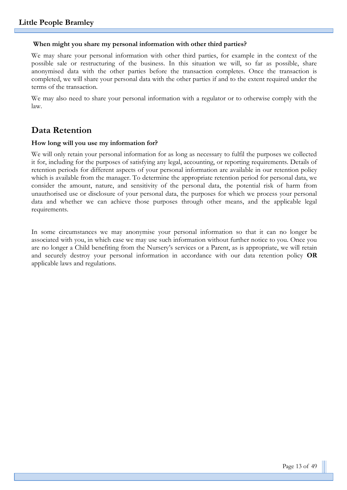#### **When might you share my personal information with other third parties?**

We may share your personal information with other third parties, for example in the context of the possible sale or restructuring of the business. In this situation we will, so far as possible, share anonymised data with the other parties before the transaction completes. Once the transaction is completed, we will share your personal data with the other parties if and to the extent required under the terms of the transaction.

We may also need to share your personal information with a regulator or to otherwise comply with the law.

## **Data Retention**

#### **How long will you use my information for?**

We will only retain your personal information for as long as necessary to fulfil the purposes we collected it for, including for the purposes of satisfying any legal, accounting, or reporting requirements. Details of retention periods for different aspects of your personal information are available in our retention policy which is available from the manager. To determine the appropriate retention period for personal data, we consider the amount, nature, and sensitivity of the personal data, the potential risk of harm from unauthorised use or disclosure of your personal data, the purposes for which we process your personal data and whether we can achieve those purposes through other means, and the applicable legal requirements.

In some circumstances we may anonymise your personal information so that it can no longer be associated with you, in which case we may use such information without further notice to you. Once you are no longer a Child benefiting from the Nursery's services or a Parent, as is appropriate, we will retain and securely destroy your personal information in accordance with our data retention policy **OR** applicable laws and regulations.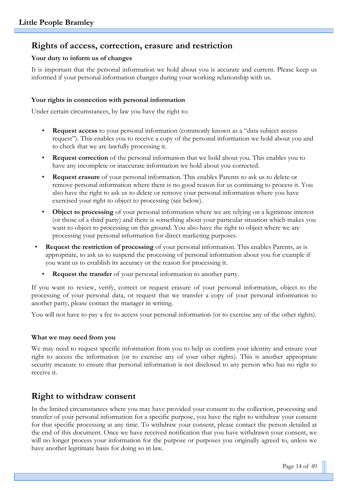# **Rights of access, correction, erasure and restriction**

#### **Your duty to inform us of changes**

It is important that the personal information we hold about you is accurate and current. Please keep us informed if your personal information changes during your working relationship with us.

#### **Your rights in connection with personal information**

Under certain circumstances, by law you have the right to:

- **Request access** to your personal information (commonly known as a "data subject access request"). This enables you to receive a copy of the personal information we hold about you and to check that we are lawfully processing it.
- **Request correction** of the personal information that we hold about you. This enables you to have any incomplete or inaccurate information we hold about you corrected.
- **Request erasure** of your personal information. This enables Parents to ask us to delete or remove personal information where there is no good reason for us continuing to process it. You also have the right to ask us to delete or remove your personal information where you have exercised your right to object to processing (see below).
- **Object to processing** of your personal information where we are relying on a legitimate interest (or those of a third party) and there is something about your particular situation which makes you want to object to processing on this ground. You also have the right to object where we are processing your personal information for direct marketing purposes.
- **Request the restriction of processing** of your personal information. This enables Parents, as is appropriate, to ask us to suspend the processing of personal information about you for example if you want us to establish its accuracy or the reason for processing it.
	- **Request the transfer** of your personal information to another party.

If you want to review, verify, correct or request erasure of your personal information, object to the processing of your personal data, or request that we transfer a copy of your personal information to another party, please contact the manager in writing.

You will not have to pay a fee to access your personal information (or to exercise any of the other rights).

#### **What we may need from you**

We may need to request specific information from you to help us confirm your identity and ensure your right to access the information (or to exercise any of your other rights). This is another appropriate security measure to ensure that personal information is not disclosed to any person who has no right to receive it.

# **Right to withdraw consent**

In the limited circumstances where you may have provided your consent to the collection, processing and transfer of your personal information for a specific purpose, you have the right to withdraw your consent for that specific processing at any time. To withdraw your consent, please contact the person detailed at the end of this document. Once we have received notification that you have withdrawn your consent, we will no longer process your information for the purpose or purposes you originally agreed to, unless we have another legitimate basis for doing so in law.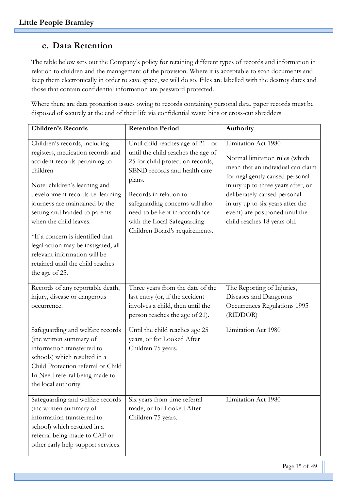# **c. Data Retention**

The table below sets out the Company's policy for retaining different types of records and information in relation to children and the management of the provision. Where it is acceptable to scan documents and keep them electronically in order to save space, we will do so. Files are labelled with the destroy dates and those that contain confidential information are password protected.

Where there are data protection issues owing to records containing personal data, paper records must be disposed of securely at the end of their life via confidential waste bins or cross-cut shredders.

| <b>Children's Records</b>                                                                                                                                                                                                                                                                                                                                                                                                                            | <b>Retention Period</b>                                                                                                                                                                                                                                                                                               | Authority                                                                                                                                                                                                                                                                                                |
|------------------------------------------------------------------------------------------------------------------------------------------------------------------------------------------------------------------------------------------------------------------------------------------------------------------------------------------------------------------------------------------------------------------------------------------------------|-----------------------------------------------------------------------------------------------------------------------------------------------------------------------------------------------------------------------------------------------------------------------------------------------------------------------|----------------------------------------------------------------------------------------------------------------------------------------------------------------------------------------------------------------------------------------------------------------------------------------------------------|
| Children's records, including<br>registers, medication records and<br>accident records pertaining to<br>children<br>Note: children's learning and<br>development records i.e. learning<br>journeys are maintained by the<br>setting and handed to parents<br>when the child leaves.<br>*If a concern is identified that<br>legal action may be instigated, all<br>relevant information will be<br>retained until the child reaches<br>the age of 25. | Until child reaches age of 21 - or<br>until the child reaches the age of<br>25 for child protection records,<br>SEND records and health care<br>plans.<br>Records in relation to<br>safeguarding concerns will also<br>need to be kept in accordance<br>with the Local Safeguarding<br>Children Board's requirements. | Limitation Act 1980<br>Normal limitation rules (which<br>mean that an individual can claim<br>for negligently caused personal<br>injury up to three years after, or<br>deliberately caused personal<br>injury up to six years after the<br>event) are postponed until the<br>child reaches 18 years old. |
| Records of any reportable death,<br>injury, disease or dangerous<br>occurrence.                                                                                                                                                                                                                                                                                                                                                                      | Three years from the date of the<br>last entry (or, if the accident<br>involves a child, then until the<br>person reaches the age of 21).                                                                                                                                                                             | The Reporting of Injuries,<br>Diseases and Dangerous<br>Occurrences Regulations 1995<br>(RIDDOR)                                                                                                                                                                                                         |
| Safeguarding and welfare records<br>(inc written summary of<br>information transferred to<br>schools) which resulted in a<br>Child Protection referral or Child<br>In Need referral being made to<br>the local authority.                                                                                                                                                                                                                            | Until the child reaches age 25<br>years, or for Looked After<br>Children 75 years.                                                                                                                                                                                                                                    | Limitation Act 1980                                                                                                                                                                                                                                                                                      |
| Safeguarding and welfare records<br>(inc written summary of<br>information transferred to<br>school) which resulted in a<br>referral being made to CAF or<br>other early help support services.                                                                                                                                                                                                                                                      | Six years from time referral<br>made, or for Looked After<br>Children 75 years.                                                                                                                                                                                                                                       | Limitation Act 1980                                                                                                                                                                                                                                                                                      |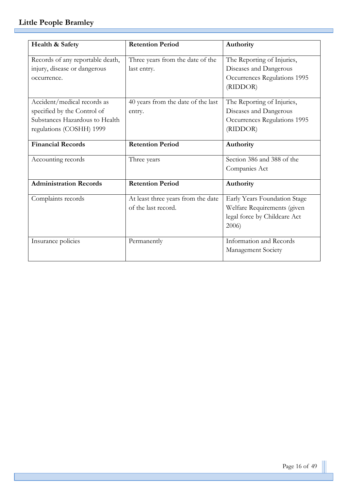г

| Health & Safety                  | <b>Retention Period</b>            | Authority                    |
|----------------------------------|------------------------------------|------------------------------|
| Records of any reportable death, | Three years from the date of the   | The Reporting of Injuries,   |
| injury, disease or dangerous     | last entry.                        | Diseases and Dangerous       |
| occurrence.                      |                                    | Occurrences Regulations 1995 |
|                                  |                                    | (RIDDOR)                     |
|                                  |                                    |                              |
| Accident/medical records as      | 40 years from the date of the last | The Reporting of Injuries,   |
| specified by the Control of      | entry.                             | Diseases and Dangerous       |
| Substances Hazardous to Health   |                                    | Occurrences Regulations 1995 |
| regulations (COSHH) 1999         |                                    | (RIDDOR)                     |
| <b>Financial Records</b>         | <b>Retention Period</b>            | Authority                    |
| Accounting records               | Three years                        | Section 386 and 388 of the   |
|                                  |                                    | Companies Act                |
| <b>Administration Records</b>    | <b>Retention Period</b>            | Authority                    |
| Complaints records               | At least three years from the date | Early Years Foundation Stage |
|                                  | of the last record.                | Welfare Requirements (given  |
|                                  |                                    | legal force by Childcare Act |
|                                  |                                    | 2006                         |
| Insurance policies               | Permanently                        | Information and Records      |
|                                  |                                    | Management Society           |
|                                  |                                    |                              |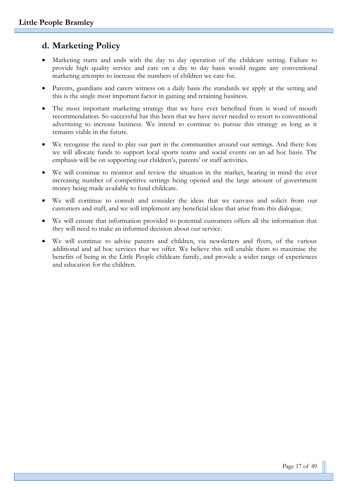# **d. Marketing Policy**

- Marketing starts and ends with the day to day operation of the childcare setting. Failure to provide high quality service and care on a day to day basis would negate any conventional marketing attempts to increase the numbers of children we care for.
- Parents, guardians and carers witness on a daily basis the standards we apply at the setting and this is the single most important factor in gaining and retaining business.
- The most important marketing strategy that we have ever benefited from is word of mouth recommendation. So successful has this been that we have never needed to resort to conventional advertising to increase business. We intend to continue to pursue this strategy as long as it remains viable in the future.
- We recognise the need to play our part in the communities around our settings. And there fore we will allocate funds to support local sports teams and social events on an ad hoc basis. The emphasis will be on supporting our children's, parents' or staff activities.
- We will continue to monitor and review the situation in the market, bearing in mind the ever increasing number of competitive settings being opened and the large amount of government money being made available to fund childcare.
- We will continue to consult and consider the ideas that we canvass and solicit from our customers and staff, and we will implement any beneficial ideas that arise from this dialogue.
- We will ensure that information provided to potential customers offers all the information that they will need to make an informed decision about our service.
- We will continue to advise parents and children, via newsletters and flyers, of the various additional and ad hoc services that we offer. We believe this will enable them to maximise the benefits of being in the Little People childcare family, and provide a wider range of experiences and education for the children.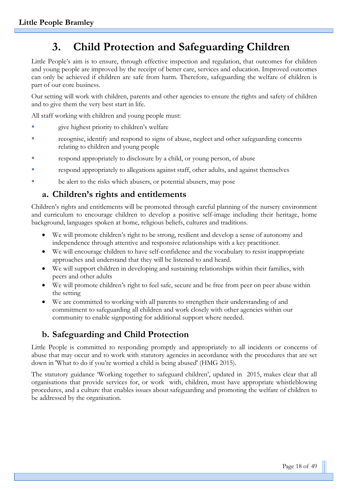# **3. Child Protection and Safeguarding Children**

Little People's aim is to ensure, through effective inspection and regulation, that outcomes for children and young people are improved by the receipt of better care, services and education. Improved outcomes can only be achieved if children are safe from harm. Therefore, safeguarding the welfare of children is part of our core business.

Our setting will work with children, parents and other agencies to ensure the rights and safety of children and to give them the very best start in life.

All staff working with children and young people must:

- give highest priority to children's welfare
- recognise, identify and respond to signs of abuse, neglect and other safeguarding concerns relating to children and young people
- respond appropriately to disclosure by a child, or young person, of abuse
- respond appropriately to allegations against staff, other adults, and against themselves
- be alert to the risks which abusers, or potential abusers, may pose

# **a. Children's rights and entitlements**

Children's rights and entitlements will be promoted through careful planning of the nursery environment and curriculum to encourage children to develop a positive self-image including their heritage, home background, languages spoken at home, religious beliefs, cultures and traditions.

- We will promote children's right to be strong, resilient and develop a sense of autonomy and independence through attentive and responsive relationships with a key practitioner.
- We will encourage children to have self-confidence and the vocabulary to resist inappropriate approaches and understand that they will be listened to and heard.
- We will support children in developing and sustaining relationships within their families, with peers and other adults
- We will promote children's right to feel safe, secure and be free from peer on peer abuse within the setting
- We are committed to working with all parents to strengthen their understanding of and commitment to safeguarding all children and work closely with other agencies within our community to enable signposting for additional support where needed.

# **b. Safeguarding and Child Protection**

Little People is committed to responding promptly and appropriately to all incidents or concerns of abuse that may occur and to work with statutory agencies in accordance with the procedures that are set down in 'What to do if you're worried a child is being abused' (HMG 2015).

The statutory guidance 'Working together to safeguard children', updated in 2015, makes clear that all organisations that provide services for, or work with, children, must have appropriate whistleblowing procedures, and a culture that enables issues about safeguarding and promoting the welfare of children to be addressed by the organisation.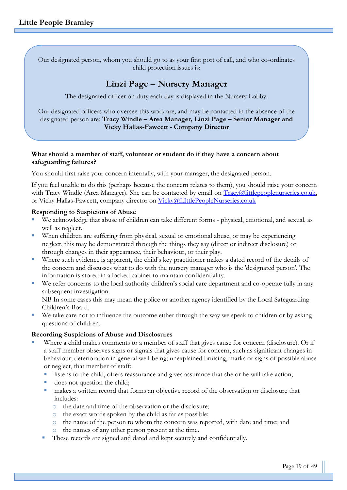Our designated person, whom you should go to as your first port of call, and who co-ordinates child protection issues is:

# **Linzi Page – Nursery Manager**

The designated officer on duty each day is displayed in the Nursery Lobby.

Our designated officers who oversee this work are, and may be contacted in the absence of the designated person are: **Tracy Windle – Area Manager, Linzi Page – Senior Manager and Vicky Hallas-Fawcett - Company Director**

#### **What should a member of staff, volunteer or student do if they have a concern about safeguarding failures?**

You should first raise your concern internally, with your manager, the designated person.

If you feel unable to do this (perhaps because the concern relates to them), you should raise your concern with Tracy Windle (Area Manager). She can be contacted by email on [Tracy@littlepeoplenurseries.co.uk,](mailto:Tracy@littlepeoplenurseries.co.uk) or Vicky Hallas-Fawcett, company director on [Vicky@LIttlePeopleNurseries.co.uk](mailto:Vicky@LIttlePeopleNurseries.co.uk)

#### **Responding to Suspicions of Abuse**

- We acknowledge that abuse of children can take different forms physical, emotional, and sexual, as well as neglect.
- When children are suffering from physical, sexual or emotional abuse, or may be experiencing neglect, this may be demonstrated through the things they say (direct or indirect disclosure) or through changes in their appearance, their behaviour, or their play.
- Where such evidence is apparent, the child's key practitioner makes a dated record of the details of the concern and discusses what to do with the nursery manager who is the 'designated person'. The information is stored in a locked cabinet to maintain confidentiality.
- We refer concerns to the local authority children's social care department and co-operate fully in any subsequent investigation. NB In some cases this may mean the police or another agency identified by the Local Safeguarding

Children's Board.

We take care not to influence the outcome either through the way we speak to children or by asking questions of children.

#### **Recording Suspicions of Abuse and Disclosures**

- Where a child makes comments to a member of staff that gives cause for concern (disclosure). Or if a staff member observes signs or signals that gives cause for concern, such as significant changes in behaviour; deterioration in general well-being; unexplained bruising, marks or signs of possible abuse or neglect, that member of staff:
	- listens to the child, offers reassurance and gives assurance that she or he will take action;
	- does not question the child;
	- makes a written record that forms an objective record of the observation or disclosure that includes:
		- o the date and time of the observation or the disclosure;
		- o the exact words spoken by the child as far as possible;
		- o the name of the person to whom the concern was reported, with date and time; and
		- o the names of any other person present at the time.
	- These records are signed and dated and kept securely and confidentially.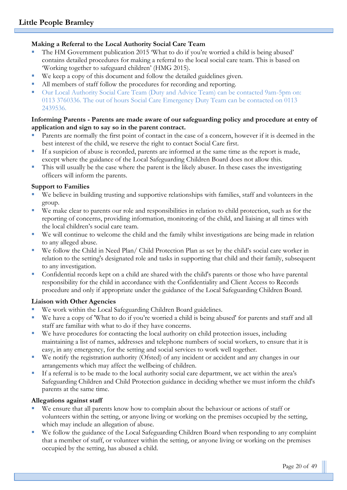#### **Making a Referral to the Local Authority Social Care Team**

- The HM Government publication 2015 'What to do if you're worried a child is being abused' contains detailed procedures for making a referral to the local social care team. This is based on 'Working together to safeguard children' (HMG 2015).
- We keep a copy of this document and follow the detailed guidelines given.
- All members of staff follow the procedures for recording and reporting.
- Our Local Authority Social Care Team (Duty and Advice Team) can be contacted 9am-5pm on: 0113 3760336. The out of hours Social Care Emergency Duty Team can be contacted on 0113 2439536.

#### **Informing Parents - Parents are made aware of our safeguarding policy and procedure at entry of application and sign to say so in the parent contract.**

- Parents are normally the first point of contact in the case of a concern, however if it is deemed in the best interest of the child, we reserve the right to contact Social Care first.
- If a suspicion of abuse is recorded, parents are informed at the same time as the report is made, except where the guidance of the Local Safeguarding Children Board does not allow this.
- This will usually be the case where the parent is the likely abuser. In these cases the investigating officers will inform the parents.

#### **Support to Families**

- We believe in building trusting and supportive relationships with families, staff and volunteers in the group.
- We make clear to parents our role and responsibilities in relation to child protection, such as for the reporting of concerns, providing information, monitoring of the child, and liaising at all times with the local children's social care team.
- We will continue to welcome the child and the family whilst investigations are being made in relation to any alleged abuse.
- We follow the Child in Need Plan/ Child Protection Plan as set by the child's social care worker in relation to the setting's designated role and tasks in supporting that child and their family, subsequent to any investigation.
- Confidential records kept on a child are shared with the child's parents or those who have parental responsibility for the child in accordance with the Confidentiality and Client Access to Records procedure and only if appropriate under the guidance of the Local Safeguarding Children Board.

#### **Liaison with Other Agencies**

- We work within the Local Safeguarding Children Board guidelines.
- We have a copy of 'What to do if you're worried a child is being abused' for parents and staff and all staff are familiar with what to do if they have concerns.
- We have procedures for contacting the local authority on child protection issues, including maintaining a list of names, addresses and telephone numbers of social workers, to ensure that it is easy, in any emergency, for the setting and social services to work well together.
- We notify the registration authority (Ofsted) of any incident or accident and any changes in our arrangements which may affect the wellbeing of children.
- If a referral is to be made to the local authority social care department, we act within the area's Safeguarding Children and Child Protection guidance in deciding whether we must inform the child's parents at the same time.

#### **Allegations against staff**

- We ensure that all parents know how to complain about the behaviour or actions of staff or volunteers within the setting, or anyone living or working on the premises occupied by the setting, which may include an allegation of abuse.
- We follow the guidance of the Local Safeguarding Children Board when responding to any complaint that a member of staff, or volunteer within the setting, or anyone living or working on the premises occupied by the setting, has abused a child.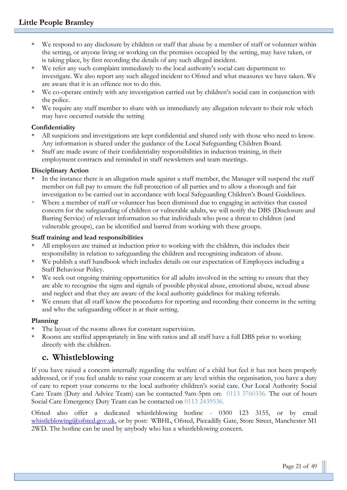- We respond to any disclosure by children or staff that abuse by a member of staff or volunteer within the setting, or anyone living or working on the premises occupied by the setting, may have taken, or is taking place, by first recording the details of any such alleged incident.
- We refer any such complaint immediately to the local authority's social care department to investigate. We also report any such alleged incident to Ofsted and what measures we have taken. We are aware that it is an offence not to do this.
- We co-operate entirely with any investigation carried out by children's social care in conjunction with the police.
- We require any staff member to share with us immediately any allegation relevant to their role which may have occurred outside the setting

## **Confidentiality**

- All suspicions and investigations are kept confidential and shared only with those who need to know. Any information is shared under the guidance of the Local Safeguarding Children Board.
- Staff are made aware of their confidentiality responsibilities in induction training, in their employment contracts and reminded in staff newsletters and team meetings.

#### **Disciplinary Action**

- In the instance there is an allegation made against a staff member, the Manager will suspend the staff member on full pay to ensure the full protection of all parties and to allow a thorough and fair investigation to be carried out in accordance with local Safeguarding Children's Board Guidelines.
- Where a member of staff or volunteer has been dismissed due to engaging in activities that caused concern for the safeguarding of children or vulnerable adults, we will notify the DBS (Disclosure and Barring Service) of relevant information so that individuals who pose a threat to children (and vulnerable groups), can be identified and barred from working with these groups.

#### **Staff training and lead responsibilities**

- All employees are trained at induction prior to working with the children, this includes their responsibility in relation to safeguarding the children and recognising indicators of abuse.
- We publish a staff handbook which includes details on our expectation of Employees including a Staff Behaviour Policy.
- We seek out ongoing training opportunities for all adults involved in the setting to ensure that they are able to recognise the signs and signals of possible physical abuse, emotional abuse, sexual abuse and neglect and that they are aware of the local authority guidelines for making referrals.
- We ensure that all staff know the procedures for reporting and recording their concerns in the setting and who the safeguarding officer is at their setting.

#### **Planning**

- The layout of the rooms allows for constant supervision.
- Rooms are staffed appropriately in line with ratios and all staff have a full DBS prior to working directly with the children.

# **c. Whistleblowing**

If you have raised a concern internally regarding the welfare of a child but feel it has not been properly addressed, or if you feel unable to raise your concern at any level within the organisation, you have a duty of care to report your concerns to the local authority children's social care. Our Local Authority Social Care Team (Duty and Advice Team) can be contacted 9am-5pm on: 0113 3760336. The out of hours Social Care Emergency Duty Team can be contacted on 0113 2439536.

Ofsted also offer a dedicated whistleblowing hotline - 0300 123 3155, or by email [whistleblowing@ofsted.gov.uk,](mailto:whistleblowing@ofsted.gov.uk) or by post: WBHL, Ofsted, Piccadilly Gate, Store Street, Manchester M1 2WD. The hotline can be used by anybody who has a whistleblowing concern.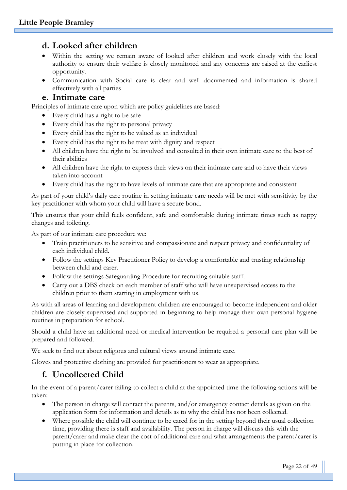# **d. Looked after children**

- Within the setting we remain aware of looked after children and work closely with the local authority to ensure their welfare is closely monitored and any concerns are raised at the earliest opportunity.
- Communication with Social care is clear and well documented and information is shared effectively with all parties

#### **e. Intimate care**

Principles of intimate care upon which are policy guidelines are based:

- Every child has a right to be safe
- Every child has the right to personal privacy
- Every child has the right to be valued as an individual
- Every child has the right to be treat with dignity and respect
- All children have the right to be involved and consulted in their own intimate care to the best of their abilities
- All children have the right to express their views on their intimate care and to have their views taken into account
- Every child has the right to have levels of intimate care that are appropriate and consistent

As part of your child's daily care routine in setting intimate care needs will be met with sensitivity by the key practitioner with whom your child will have a secure bond.

This ensures that your child feels confident, safe and comfortable during intimate times such as nappy changes and toileting.

As part of our intimate care procedure we:

- Train practitioners to be sensitive and compassionate and respect privacy and confidentiality of each individual child.
- Follow the settings Key Practitioner Policy to develop a comfortable and trusting relationship between child and carer.
- Follow the settings Safeguarding Procedure for recruiting suitable staff.
- Carry out a DBS check on each member of staff who will have unsupervised access to the children prior to them starting in employment with us.

As with all areas of learning and development children are encouraged to become independent and older children are closely supervised and supported in beginning to help manage their own personal hygiene routines in preparation for school.

Should a child have an additional need or medical intervention be required a personal care plan will be prepared and followed.

We seek to find out about religious and cultural views around intimate care.

Gloves and protective clothing are provided for practitioners to wear as appropriate.

### **f. Uncollected Child**

In the event of a parent/carer failing to collect a child at the appointed time the following actions will be taken:

- The person in charge will contact the parents, and/or emergency contact details as given on the application form for information and details as to why the child has not been collected.
- Where possible the child will continue to be cared for in the setting beyond their usual collection time, providing there is staff and availability. The person in charge will discuss this with the parent/carer and make clear the cost of additional care and what arrangements the parent/carer is putting in place for collection.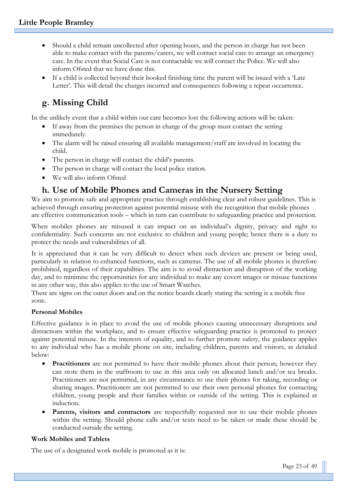- Should a child remain uncollected after opening hours, and the person in charge has not been able to make contact with the parents/carers, we will contact social care to arrange an emergency care. In the event that Social Care is not contactable we will contact the Police. We will also inform Ofsted that we have done this.
- If a child is collected beyond their booked finishing time the parent will be issued with a 'Late Letter'. This will detail the charges incurred and consequences following a repeat occurrence.

# **g. Missing Child**

In the unlikely event that a child within our care becomes lost the following actions will be taken:

- If away from the premises the person in charge of the group must contact the setting immediately.
- The alarm will be raised ensuring all available management/staff are involved in locating the child.
- The person in charge will contact the child's parents.
- The person in charge will contact the local police station.
- We will also inform Ofsted

# **h. Use of Mobile Phones and Cameras in the Nursery Setting**

We aim to promote safe and appropriate practice through establishing clear and robust guidelines. This is achieved through ensuring protection against potential misuse with the recognition that mobile phones are effective communication tools – which in turn can contribute to safeguarding practice and protection.

When mobiles phones are misused it can impact on an individual's dignity, privacy and right to confidentiality. Such concerns are not exclusive to children and young people; hence there is a duty to protect the needs and vulnerabilities of all.

It is appreciated that it can be very difficult to detect when such devices are present or being used, particularly in relation to enhanced functions, such as cameras. The use of all mobile phones is therefore prohibited, regardless of their capabilities. The aim is to avoid distraction and disruption of the working day, and to minimise the opportunities for any individual to make any covert images or misuse functions in any other way, this also applies to the use of Smart Watches.

There are signs on the outer doors and on the notice boards clearly stating the setting is a mobile free zone.

#### **Personal Mobiles**

Effective guidance is in place to avoid the use of mobile phones causing unnecessary disruptions and distractions within the workplace, and to ensure effective safeguarding practice is promoted to protect against potential misuse. In the interests of equality, and to further promote safety, the guidance applies to any individual who has a mobile phone on site, including children, parents and visitors, as detailed below:

- **Practitioners** are not permitted to have their mobile phones about their person; however they can store them in the staffroom to use in this area only on allocated lunch and/or tea breaks. Practitioners are not permitted, in any circumstance to use their phones for taking, recording or sharing images. Practitioners are not permitted to use their own personal phones for contacting children, young people and their families within or outside of the setting. This is explained at induction.
- **Parents, visitors and contractors** are respectfully requested not to use their mobile phones within the setting. Should phone calls and/or texts need to be taken or made these should be conducted outside the setting.

#### **Work Mobiles and Tablets**

The use of a designated work mobile is promoted as it is: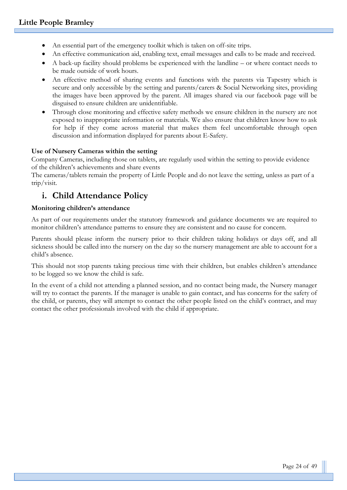- An essential part of the emergency toolkit which is taken on off-site trips.
- An effective communication aid, enabling text, email messages and calls to be made and received.
- A back-up facility should problems be experienced with the landline or where contact needs to be made outside of work hours.
- An effective method of sharing events and functions with the parents via Tapestry which is secure and only accessible by the setting and parents/carers & Social Networking sites, providing the images have been approved by the parent. All images shared via our facebook page will be disguised to ensure children are unidentifiable.
- Through close monitoring and effective safety methods we ensure children in the nursery are not exposed to inappropriate information or materials. We also ensure that children know how to ask for help if they come across material that makes them feel uncomfortable through open discussion and information displayed for parents about E-Safety.

#### **Use of Nursery Cameras within the setting**

Company Cameras, including those on tablets, are regularly used within the setting to provide evidence of the children's achievements and share events

The cameras/tablets remain the property of Little People and do not leave the setting, unless as part of a trip/visit.

# **i. Child Attendance Policy**

#### **Monitoring children's attendance**

As part of our requirements under the statutory framework and guidance documents we are required to monitor children's attendance patterns to ensure they are consistent and no cause for concern.

Parents should please inform the nursery prior to their children taking holidays or days off, and all sickness should be called into the nursery on the day so the nursery management are able to account for a child's absence.

This should not stop parents taking precious time with their children, but enables children's attendance to be logged so we know the child is safe.

In the event of a child not attending a planned session, and no contact being made, the Nursery manager will try to contact the parents. If the manager is unable to gain contact, and has concerns for the safety of the child, or parents, they will attempt to contact the other people listed on the child's contract, and may contact the other professionals involved with the child if appropriate.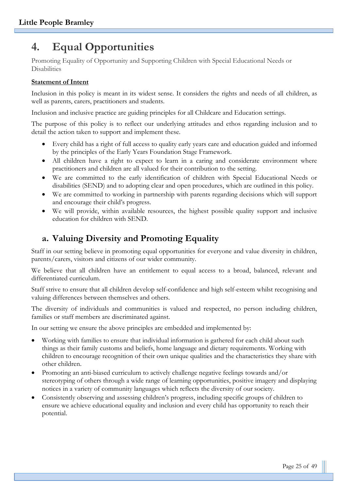# **4. Equal Opportunities**

Promoting Equality of Opportunity and Supporting Children with Special Educational Needs or Disabilities

#### **Statement of Intent**

Inclusion in this policy is meant in its widest sense. It considers the rights and needs of all children, as well as parents, carers, practitioners and students.

Inclusion and inclusive practice are guiding principles for all Childcare and Education settings.

The purpose of this policy is to reflect our underlying attitudes and ethos regarding inclusion and to detail the action taken to support and implement these.

- Every child has a right of full access to quality early years care and education guided and informed by the principles of the Early Years Foundation Stage Framework.
- All children have a right to expect to learn in a caring and considerate environment where practitioners and children are all valued for their contribution to the setting.
- We are committed to the early identification of children with Special Educational Needs or disabilities (SEND) and to adopting clear and open procedures, which are outlined in this policy.
- We are committed to working in partnership with parents regarding decisions which will support and encourage their child's progress.
- We will provide, within available resources, the highest possible quality support and inclusive education for children with SEND.

# **a. Valuing Diversity and Promoting Equality**

Staff in our setting believe in promoting equal opportunities for everyone and value diversity in children, parents/carers, visitors and citizens of our wider community.

We believe that all children have an entitlement to equal access to a broad, balanced, relevant and differentiated curriculum.

Staff strive to ensure that all children develop self-confidence and high self-esteem whilst recognising and valuing differences between themselves and others.

The diversity of individuals and communities is valued and respected, no person including children, families or staff members are discriminated against.

In our setting we ensure the above principles are embedded and implemented by:

- Working with families to ensure that individual information is gathered for each child about such things as their family customs and beliefs, home language and dietary requirements. Working with children to encourage recognition of their own unique qualities and the characteristics they share with other children.
- Promoting an anti-biased curriculum to actively challenge negative feelings towards and/or stereotyping of others through a wide range of learning opportunities, positive imagery and displaying notices in a variety of community languages which reflects the diversity of our society.
- Consistently observing and assessing children's progress, including specific groups of children to ensure we achieve educational equality and inclusion and every child has opportunity to reach their potential.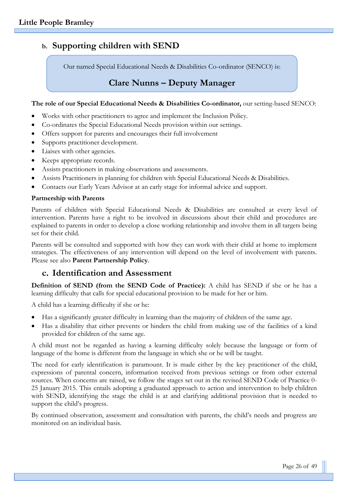# **b. Supporting children with SEND**

Our named Special Educational Needs & Disabilities Co-ordinator (SENCO) is:

# **Clare Nunns – Deputy Manager**

#### **The role of our Special Educational Needs & Disabilities Co-ordinator,** our setting-based SENCO:

- Works with other practitioners to agree and implement the Inclusion Policy.
- Co-ordinates the Special Educational Needs provision within our settings.
- Offers support for parents and encourages their full involvement
- Supports practitioner development.
- Liaises with other agencies.
- Keeps appropriate records.
- Assists practitioners in making observations and assessments.
- Assists Practitioners in planning for children with Special Educational Needs & Disabilities.
- Contacts our Early Years Advisor at an early stage for informal advice and support.

#### **Partnership with Parents**

Parents of children with Special Educational Needs & Disabilities are consulted at every level of intervention. Parents have a right to be involved in discussions about their child and procedures are explained to parents in order to develop a close working relationship and involve them in all targets being set for their child.

Parents will be consulted and supported with how they can work with their child at home to implement strategies. The effectiveness of any intervention will depend on the level of involvement with parents. Please see also **Parent Partnership Policy**.

### **c. Identification and Assessment**

**Definition of SEND (from the SEND Code of Practice):** A child has SEND if she or he has a learning difficulty that calls for special educational provision to be made for her or him.

A child has a learning difficulty if she or he:

- Has a significantly greater difficulty in learning than the majority of children of the same age.
- Has a disability that either prevents or hinders the child from making use of the facilities of a kind provided for children of the same age.

A child must not be regarded as having a learning difficulty solely because the language or form of language of the home is different from the language in which she or he will be taught.

The need for early identification is paramount. It is made either by the key practitioner of the child, expressions of parental concern, information received from previous settings or from other external sources. When concerns are raised, we follow the stages set out in the revised SEND Code of Practice 0- 25 January 2015. This entails adopting a graduated approach to action and intervention to help children with SEND, identifying the stage the child is at and clarifying additional provision that is needed to support the child's progress.

By continued observation, assessment and consultation with parents, the child's needs and progress are monitored on an individual basis.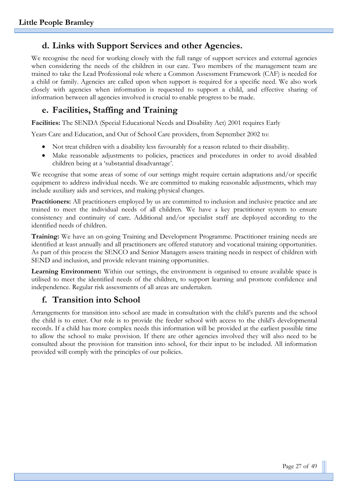# **d. Links with Support Services and other Agencies.**

We recognise the need for working closely with the full range of support services and external agencies when considering the needs of the children in our care. Two members of the management team are trained to take the Lead Professional role where a Common Assessment Framework (CAF) is needed for a child or family. Agencies are called upon when support is required for a specific need. We also work closely with agencies when information is requested to support a child, and effective sharing of information between all agencies involved is crucial to enable progress to be made.

# **e. Facilities, Staffing and Training**

**Facilities:** The SENDA (Special Educational Needs and Disability Act) 2001 requires Early

Years Care and Education, and Out of School Care providers, from September 2002 to:

- Not treat children with a disability less favourably for a reason related to their disability.
- Make reasonable adjustments to policies, practices and procedures in order to avoid disabled children being at a 'substantial disadvantage'.

We recognise that some areas of some of our settings might require certain adaptations and/or specific equipment to address individual needs. We are committed to making reasonable adjustments, which may include auxiliary aids and services, and making physical changes.

**Practitioners:** All practitioners employed by us are committed to inclusion and inclusive practice and are trained to meet the individual needs of all children. We have a key practitioner system to ensure consistency and continuity of care. Additional and/or specialist staff are deployed according to the identified needs of children.

**Training:** We have an on-going Training and Development Programme. Practitioner training needs are identified at least annually and all practitioners are offered statutory and vocational training opportunities. As part of this process the SENCO and Senior Managers assess training needs in respect of children with SEND and inclusion, and provide relevant training opportunities.

**Learning Environment:** Within our settings, the environment is organised to ensure available space is utilised to meet the identified needs of the children, to support learning and promote confidence and independence. Regular risk assessments of all areas are undertaken.

# **f. Transition into School**

Arrangements for transition into school are made in consultation with the child's parents and the school the child is to enter. Our role is to provide the feeder school with access to the child's developmental records. If a child has more complex needs this information will be provided at the earliest possible time to allow the school to make provision. If there are other agencies involved they will also need to be consulted about the provision for transition into school, for their input to be included. All information provided will comply with the principles of our policies.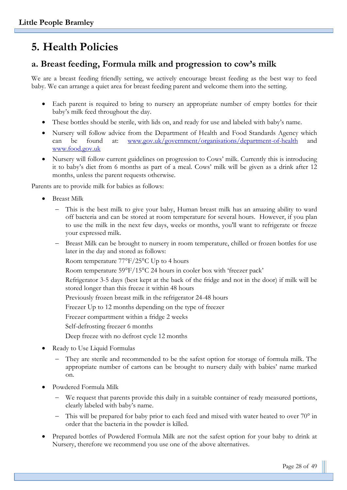# **5. Health Policies**

# **a. Breast feeding, Formula milk and progression to cow's milk**

We are a breast feeding friendly setting, we actively encourage breast feeding as the best way to feed baby. We can arrange a quiet area for breast feeding parent and welcome them into the setting.

- Each parent is required to bring to nursery an appropriate number of empty bottles for their baby's milk feed throughout the day.
- These bottles should be sterile, with lids on, and ready for use and labeled with baby's name.
- Nursery will follow advice from the Department of Health and Food Standards Agency which can be found at: [www.gov.uk/government/organisations/department-of-health](http://www.gov.uk/government/organisations/department-of-health) and [www.food.gov.uk](http://www.food.gov.uk/)
- Nursery will follow current guidelines on progression to Cows' milk. Currently this is introducing it to baby's diet from 6 months as part of a meal. Cows' milk will be given as a drink after 12 months, unless the parent requests otherwise.

Parents are to provide milk for babies as follows:

- Breast Milk
	- This is the best milk to give your baby, Human breast milk has an amazing ability to ward off bacteria and can be stored at room temperature for several hours. However, if you plan to use the milk in the next few days, weeks or months, you'll want to refrigerate or freeze your expressed milk.
	- Breast Milk can be brought to nursery in room temperature, chilled or frozen bottles for use later in the day and stored as follows:

Room temperature 77°F/25°C Up to 4 hours

Room temperature 59°F/15°C 24 hours in cooler box with 'freezer pack'

Refrigerator 3-5 days (best kept at the back of the fridge and not in the door) if milk will be stored longer than this freeze it within 48 hours

Previously frozen breast milk in the refrigerator 24-48 hours

Freezer Up to 12 months depending on the type of freezer

Freezer compartment within a fridge 2 weeks

Self-defrosting freezer 6 months

Deep freeze with no defrost cycle 12 months

- Ready to Use Liquid Formulas
	- They are sterile and recommended to be the safest option for storage of formula milk. The appropriate number of cartons can be brought to nursery daily with babies' name marked on.
- Powdered Formula Milk
	- We request that parents provide this daily in a suitable container of ready measured portions, clearly labeled with baby's name.
	- This will be prepared for baby prior to each feed and mixed with water heated to over 70° in order that the bacteria in the powder is killed.
- Prepared bottles of Powdered Formula Milk are not the safest option for your baby to drink at Nursery, therefore we recommend you use one of the above alternatives.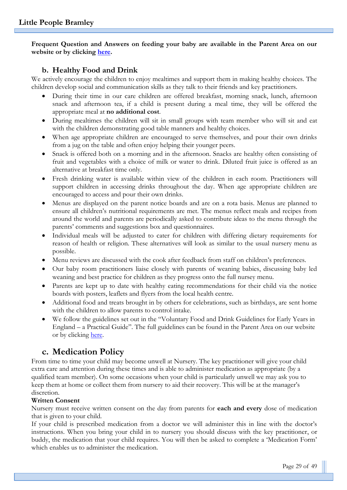**Frequent Question and Answers on feeding your baby are available in the Parent Area on our website or by clicking [here.](http://www.littlepeoplenurseries.co.uk/parent-area/why-choose-us-1)**

#### **b. Healthy Food and Drink**

We actively encourage the children to enjoy mealtimes and support them in making healthy choices. The children develop social and communication skills as they talk to their friends and key practitioners.

- During their time in our care children are offered breakfast, morning snack, lunch, afternoon snack and afternoon tea, if a child is present during a meal time, they will be offered the appropriate meal at **no additional cost**.
- During mealtimes the children will sit in small groups with team member who will sit and eat with the children demonstrating good table manners and healthy choices.
- When age appropriate children are encouraged to serve themselves, and pour their own drinks from a jug on the table and often enjoy helping their younger peers.
- Snack is offered both on a morning and in the afternoon. Snacks are healthy often consisting of fruit and vegetables with a choice of milk or water to drink. Diluted fruit juice is offered as an alternative at breakfast time only.
- Fresh drinking water is available within view of the children in each room. Practitioners will support children in accessing drinks throughout the day. When age appropriate children are encouraged to access and pour their own drinks.
- Menus are displayed on the parent notice boards and are on a rota basis. Menus are planned to ensure all children's nutritional requirements are met. The menus reflect meals and recipes from around the world and parents are periodically asked to contribute ideas to the menu through the parents' comments and suggestions box and questionnaires.
- Individual meals will be adjusted to cater for children with differing dietary requirements for reason of health or religion. These alternatives will look as similar to the usual nursery menu as possible.
- Menu reviews are discussed with the cook after feedback from staff on children's preferences.
- Our baby room practitioners liaise closely with parents of weaning babies, discussing baby led weaning and best practice for children as they progress onto the full nursey menu.
- Parents are kept up to date with healthy eating recommendations for their child via the notice boards with posters, leaflets and flyers from the local health centre.
- Additional food and treats brought in by others for celebrations, such as birthdays, are sent home with the children to allow parents to control intake.
- We follow the guidelines set out in the "Voluntary Food and Drink Guidelines for Early Years in England – a Practical Guide". The full guidelines can be found in the Parent Area on our website or by clicking [here.](http://littlepeople.sites.schooljotter2.com/parent-area/voluntaryguidelines)

# **c. Medication Policy**

From time to time your child may become unwell at Nursery. The key practitioner will give your child extra care and attention during these times and is able to administer medication as appropriate (by a qualified team member). On some occasions when your child is particularly unwell we may ask you to keep them at home or collect them from nursery to aid their recovery. This will be at the manager's discretion.

#### **Written Consent**

Nursery must receive written consent on the day from parents for **each and every** dose of medication that is given to your child.

If your child is prescribed medication from a doctor we will administer this in line with the doctor's instructions. When you bring your child in to nursery you should discuss with the key practitioner, or buddy, the medication that your child requires. You will then be asked to complete a 'Medication Form' which enables us to administer the medication.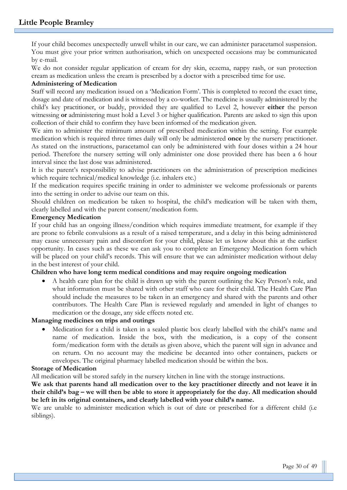If your child becomes unexpectedly unwell whilst in our care, we can administer paracetamol suspension. You must give your prior written authorisation, which on unexpected occasions may be communicated by e-mail.

We do not consider regular application of cream for dry skin, eczema, nappy rash, or sun protection cream as medication unless the cream is prescribed by a doctor with a prescribed time for use.

#### **Administering of Medication**

Staff will record any medication issued on a 'Medication Form'. This is completed to record the exact time, dosage and date of medication and is witnessed by a co-worker. The medicine is usually administered by the child's key practitioner, or buddy, provided they are qualified to Level 2, however **either** the person witnessing **or** administering must hold a Level 3 or higher qualification. Parents are asked to sign this upon collection of their child to confirm they have been informed of the medication given.

We aim to administer the minimum amount of prescribed medication within the setting. For example medication which is required three times daily will only be administered **once** by the nursery practitioner. As stated on the instructions, paracetamol can only be administered with four doses within a 24 hour period. Therefore the nursery setting will only administer one dose provided there has been a 6 hour interval since the last dose was administered.

It is the parent's responsibility to advise practitioners on the administration of prescription medicines which require technical/medical knowledge (i.e. inhalers etc.)

If the medication requires specific training in order to administer we welcome professionals or parents into the setting in order to advise our team on this.

Should children on medication be taken to hospital, the child's medication will be taken with them, clearly labelled and with the parent consent/medication form.

#### **Emergency Medication**

If your child has an ongoing illness/condition which requires immediate treatment, for example if they are prone to febrile convulsions as a result of a raised temperature, and a delay in this being administered may cause unnecessary pain and discomfort for your child, please let us know about this at the earliest opportunity. In cases such as these we can ask you to complete an Emergency Medication form which will be placed on your child's records. This will ensure that we can administer medication without delay in the best interest of your child.

#### **Children who have long term medical conditions and may require ongoing medication**

• A health care plan for the child is drawn up with the parent outlining the Key Person's role, and what information must be shared with other staff who care for their child. The Health Care Plan should include the measures to be taken in an emergency and shared with the parents and other contributors. The Health Care Plan is reviewed regularly and amended in light of changes to medication or the dosage, any side effects noted etc.

#### **Managing medicines on trips and outings**

• Medication for a child is taken in a sealed plastic box clearly labelled with the child's name and name of medication. Inside the box, with the medication, is a copy of the consent form/medication form with the details as given above, which the parent will sign in advance and on return. On no account may the medicine be decanted into other containers, packets or envelopes. The original pharmacy labelled medication should be within the box.

#### **Storage of Medication**

All medication will be stored safely in the nursery kitchen in line with the storage instructions.

We ask that parents hand all medication over to the key practitioner directly and not leave it in **their child's bag – we will then be able to store it appropriately for the day. All medication should be left in its original containers, and clearly labelled with your child's name.**

We are unable to administer medication which is out of date or prescribed for a different child (i.e. siblings).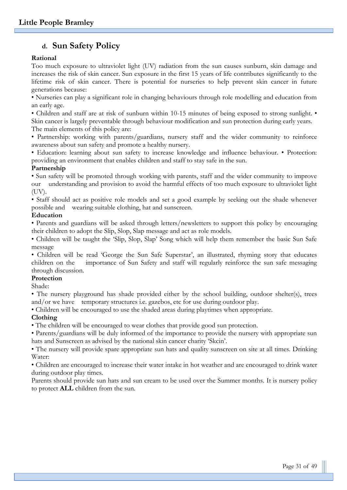# **d. Sun Safety Policy**

#### **Rational**

Too much exposure to ultraviolet light (UV) radiation from the sun causes sunburn, skin damage and increases the risk of skin cancer. Sun exposure in the first 15 years of life contributes significantly to the lifetime risk of skin cancer. There is potential for nurseries to help prevent skin cancer in future generations because:

• Nurseries can play a significant role in changing behaviours through role modelling and education from an early age.

• Children and staff are at risk of sunburn within 10-15 minutes of being exposed to strong sunlight. •

Skin cancer is largely preventable through behaviour modification and sun protection during early years. The main elements of this policy are:

• Partnership: working with parents/guardians, nursery staff and the wider community to reinforce awareness about sun safety and promote a healthy nursery.

• Education: learning about sun safety to increase knowledge and influence behaviour. • Protection: providing an environment that enables children and staff to stay safe in the sun.

#### **Partnership**

• Sun safety will be promoted through working with parents, staff and the wider community to improve our understanding and provision to avoid the harmful effects of too much exposure to ultraviolet light (UV).

• Staff should act as positive role models and set a good example by seeking out the shade whenever possible and wearing suitable clothing, hat and sunscreen.

#### **Education**

• Parents and guardians will be asked through letters/newsletters to support this policy by encouraging their children to adopt the Slip, Slop, Slap message and act as role models.

• Children will be taught the 'Slip, Slop, Slap' Song which will help them remember the basic Sun Safe message

• Children will be read 'George the Sun Safe Superstar', an illustrated, rhyming story that educates children on the importance of Sun Safety and staff will regularly reinforce the sun safe messaging through discussion.

#### **Protection**

Shade:

• The nursery playground has shade provided either by the school building, outdoor shelter(s), trees and/or we have temporary structures i.e. gazebos, etc for use during outdoor play.

• Children will be encouraged to use the shaded areas during playtimes when appropriate.

#### **Clothing**

• The children will be encouraged to wear clothes that provide good sun protection.

• Parents/guardians will be duly informed of the importance to provide the nursery with appropriate sun hats and Sunscreen as advised by the national skin cancer charity 'Skcin'.

• The nursery will provide spare appropriate sun hats and quality sunscreen on site at all times. Drinking Water:

• Children are encouraged to increase their water intake in hot weather and are encouraged to drink water during outdoor play times.

Parents should provide sun hats and sun cream to be used over the Summer months. It is nursery policy to protect **ALL** children from the sun.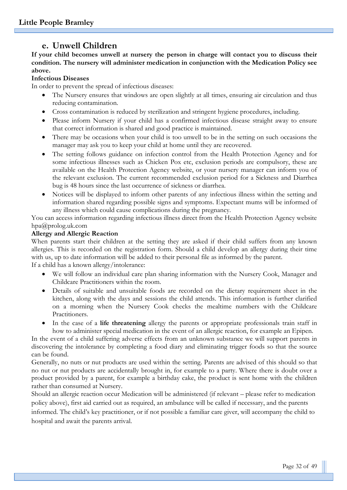# **e. Unwell Children**

**If your child becomes unwell at nursery the person in charge will contact you to discuss their condition. The nursery will administer medication in conjunction with the Medication Policy see above.**

#### **Infectious Diseases**

In order to prevent the spread of infectious diseases:

- The Nursery ensures that windows are open slightly at all times, ensuring air circulation and thus reducing contamination.
- Cross contamination is reduced by sterilization and stringent hygiene procedures, including.
- Please inform Nursery if your child has a confirmed infectious disease straight away to ensure that correct information is shared and good practice is maintained.
- There may be occasions when your child is too unwell to be in the setting on such occasions the manager may ask you to keep your child at home until they are recovered.
- The setting follows guidance on infection control from the Health Protection Agency and for some infectious illnesses such as Chicken Pox etc, exclusion periods are compulsory, these are available on the Health Protection Agency website, or your nursery manager can inform you of the relevant exclusion. The current recommended exclusion period for a Sickness and Diarrhea bug is 48 hours since the last occurrence of sickness or diarrhea.
- Notices will be displayed to inform other parents of any infectious illness within the setting and information shared regarding possible signs and symptoms. Expectant mums will be informed of any illness which could cause complications during the pregnancy.

You can access information regarding infectious illness direct from the Health Protection Agency website hpa@prolog.uk.com

#### **Allergy and Allergic Reaction**

When parents start their children at the setting they are asked if their child suffers from any known allergies. This is recorded on the registration form. Should a child develop an allergy during their time with us, up to date information will be added to their personal file as informed by the parent. If a child has a known allergy/intolerance:

- We will follow an individual care plan sharing information with the Nursery Cook, Manager and Childcare Practitioners within the room.
- Details of suitable and unsuitable foods are recorded on the dietary requirement sheet in the kitchen, along with the days and sessions the child attends. This information is further clarified on a morning when the Nursery Cook checks the mealtime numbers with the Childcare Practitioners.
- In the case of a **life threatening** allergy the parents or appropriate professionals train staff in how to administer special medication in the event of an allergic reaction, for example an Epipen.

In the event of a child suffering adverse effects from an unknown substance we will support parents in discovering the intolerance by completing a food diary and eliminating trigger foods so that the source can be found.

Generally, no nuts or nut products are used within the setting. Parents are advised of this should so that no nut or nut products are accidentally brought in, for example to a party. Where there is doubt over a product provided by a parent, for example a birthday cake, the product is sent home with the children rather than consumed at Nursery.

Should an allergic reaction occur Medication will be administered (if relevant – please refer to medication policy above), first aid carried out as required, an ambulance will be called if necessary, and the parents

informed. The child's key practitioner, or if not possible a familiar care giver, will accompany the child to hospital and await the parents arrival.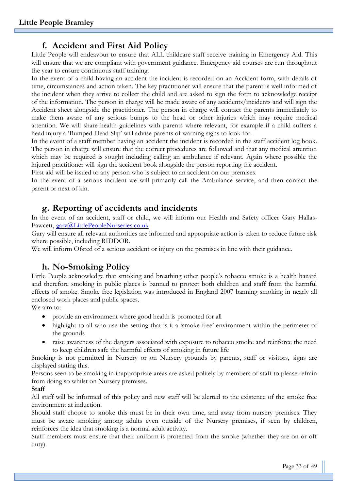# **f. Accident and First Aid Policy**

Little People will endeavour to ensure that ALL childcare staff receive training in Emergency Aid. This will ensure that we are compliant with government guidance. Emergency aid courses are run throughout the year to ensure continuous staff training.

In the event of a child having an accident the incident is recorded on an Accident form, with details of time, circumstances and action taken. The key practitioner will ensure that the parent is well informed of the incident when they arrive to collect the child and are asked to sign the form to acknowledge receipt of the information. The person in charge will be made aware of any accidents/incidents and will sign the Accident sheet alongside the practitioner. The person in charge will contact the parents immediately to make them aware of any serious bumps to the head or other injuries which may require medical attention. We will share health guidelines with parents where relevant, for example if a child suffers a head injury a 'Bumped Head Slip' will advise parents of warning signs to look for.

In the event of a staff member having an accident the incident is recorded in the staff accident log book. The person in charge will ensure that the correct procedures are followed and that any medical attention which may be required is sought including calling an ambulance if relevant. Again where possible the injured practitioner will sign the accident book alongside the person reporting the accident.

First aid will be issued to any person who is subject to an accident on our premises.

In the event of a serious incident we will primarily call the Ambulance service, and then contact the parent or next of kin.

# **g. Reporting of accidents and incidents**

In the event of an accident, staff or child, we will inform our Health and Safety officer Gary Hallas-Fawcett, [gary@LittlePeopleNurseries.co.uk](mailto:gary@LittlePeopleNurseries.co.uk)

Gary will ensure all relevant authorities are informed and appropriate action is taken to reduce future risk where possible, including RIDDOR.

We will inform Ofsted of a serious accident or injury on the premises in line with their guidance.

# **h. No-Smoking Policy**

Little People acknowledge that smoking and breathing other people's tobacco smoke is a health hazard and therefore smoking in public places is banned to protect both children and staff from the harmful effects of smoke. Smoke free legislation was introduced in England 2007 banning smoking in nearly all enclosed work places and public spaces.

We aim to:

- provide an environment where good health is promoted for all
- highlight to all who use the setting that is it a 'smoke free' environment within the perimeter of the grounds
- raise awareness of the dangers associated with exposure to tobacco smoke and reinforce the need to keep children safe the harmful effects of smoking in future life

Smoking is not permitted in Nursery or on Nursery grounds by parents, staff or visitors, signs are displayed stating this.

Persons seen to be smoking in inappropriate areas are asked politely by members of staff to please refrain from doing so whilst on Nursery premises.

#### **Staff**

All staff will be informed of this policy and new staff will be alerted to the existence of the smoke free environment at induction.

Should staff choose to smoke this must be in their own time, and away from nursery premises. They must be aware smoking among adults even outside of the Nursery premises, if seen by children, reinforces the idea that smoking is a normal adult activity.

Staff members must ensure that their uniform is protected from the smoke (whether they are on or off duty).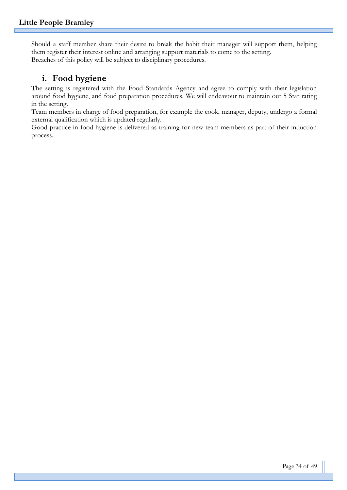Should a staff member share their desire to break the habit their manager will support them, helping them register their interest online and arranging support materials to come to the setting. Breaches of this policy will be subject to disciplinary procedures.

# **i. Food hygiene**

The setting is registered with the Food Standards Agency and agree to comply with their legislation around food hygiene, and food preparation procedures. We will endeavour to maintain our 5 Star rating in the setting.

Team members in charge of food preparation, for example the cook, manager, deputy, undergo a formal external qualification which is updated regularly.

Good practice in food hygiene is delivered as training for new team members as part of their induction process.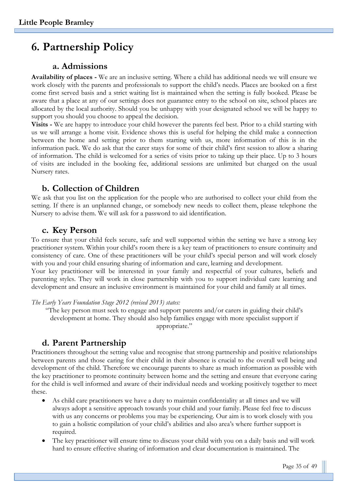# **6. Partnership Policy**

### **a. Admissions**

**Availability of places -** We are an inclusive setting. Where a child has additional needs we will ensure we work closely with the parents and professionals to support the child's needs. Places are booked on a first come first served basis and a strict waiting list is maintained when the setting is fully booked. Please be aware that a place at any of our settings does not guarantee entry to the school on site, school places are allocated by the local authority. Should you be unhappy with your designated school we will be happy to support you should you choose to appeal the decision.

**Visits -** We are happy to introduce your child however the parents feel best. Prior to a child starting with us we will arrange a home visit. Evidence shows this is useful for helping the child make a connection between the home and setting prior to them starting with us, more information of this is in the information pack. We do ask that the carer stays for some of their child's first session to allow a sharing of information. The child is welcomed for a series of visits prior to taking up their place. Up to 3 hours of visits are included in the booking fee, additional sessions are unlimited but charged on the usual Nursery rates.

### **b. Collection of Children**

We ask that you list on the application for the people who are authorised to collect your child from the setting. If there is an unplanned change, or somebody new needs to collect them, please telephone the Nursery to advise them. We will ask for a password to aid identification.

#### **c. Key Person**

To ensure that your child feels secure, safe and well supported within the setting we have a strong key practitioner system. Within your child's room there is a key team of practitioners to ensure continuity and consistency of care. One of these practitioners will be your child's special person and will work closely with you and your child ensuring sharing of information and care, learning and development. Your key practitioner will be interested in your family and respectful of your cultures, beliefs and parenting styles. They will work in close partnership with you to support individual care learning and development and ensure an inclusive environment is maintained for your child and family at all times.

*The Early Years Foundation Stage 2012 (revised 2013) states:*

"The key person must seek to engage and support parents and/or carers in guiding their child's development at home. They should also help families engage with more specialist support if appropriate."

### **d. Parent Partnership**

Practitioners throughout the setting value and recognise that strong partnership and positive relationships between parents and those caring for their child in their absence is crucial to the overall well being and development of the child. Therefore we encourage parents to share as much information as possible with the key practitioner to promote continuity between home and the setting and ensure that everyone caring for the child is well informed and aware of their individual needs and working positively together to meet these.

- As child care practitioners we have a duty to maintain confidentiality at all times and we will always adopt a sensitive approach towards your child and your family. Please feel free to discuss with us any concerns or problems you may be experiencing. Our aim is to work closely with you to gain a holistic compilation of your child's abilities and also area's where further support is required.
- The key practitioner will ensure time to discuss your child with you on a daily basis and will work hard to ensure effective sharing of information and clear documentation is maintained. The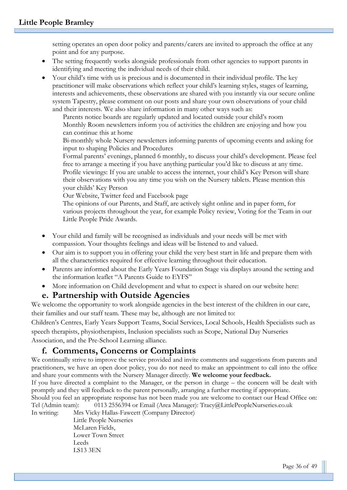setting operates an open door policy and parents/carers are invited to approach the office at any point and for any purpose.

- The setting frequently works alongside professionals from other agencies to support parents in identifying and meeting the individual needs of their child.
- Your child's time with us is precious and is documented in their individual profile. The key practitioner will make observations which reflect your child's learning styles, stages of learning, interests and achievements, these observations are shared with you instantly via our secure online system Tapestry, please comment on our posts and share your own observations of your child and their interests. We also share information in many other ways such as:

Parents notice boards are regularly updated and located outside your child's room Monthly Room newsletters inform you of activities the children are enjoying and how you can continue this at home

Bi-monthly whole Nursery newsletters informing parents of upcoming events and asking for input to shaping Policies and Procedures

Formal parents' evenings, planned 6 monthly, to discuss your child's development. Please feel free to arrange a meeting if you have anything particular you'd like to discuss at any time. Profile viewings: If you are unable to access the internet, your child's Key Person will share their observations with you any time you wish on the Nursery tablets. Please mention this your childs' Key Person

Our Website, Twitter feed and Facebook page

The opinions of our Parents, and Staff, are actively sight online and in paper form, for various projects throughout the year, for example Policy review, Voting for the Team in our Little People Pride Awards.

- Your child and family will be recognised as individuals and your needs will be met with compassion. Your thoughts feelings and ideas will be listened to and valued.
- Our aim is to support you in offering your child the very best start in life and prepare them with all the characteristics required for effective learning throughout their education.
- Parents are informed about the Early Years Foundation Stage via displays around the setting and the information leaflet "A Parents Guide to EYFS"
- More information on Child development and what to expect is shared on our website here:

### **e. Partnership with Outside Agencies**

We welcome the opportunity to work alongside agencies in the best interest of the children in our care, their families and our staff team. These may be, although are not limited to:

Children's Centres, Early Years Support Teams, Social Services, Local Schools, Health Specialists such as speech therapists, physiotherapists, Inclusion specialists such as Scope, National Day Nurseries Association, and the Pre-School Learning alliance.

# **f. Comments, Concerns or Complaints**

We continually strive to improve the service provided and invite comments and suggestions from parents and practitioners, we have an open door policy, you do not need to make an appointment to call into the office and share your comments with the Nursery Manager directly. **We welcome your feedback.**

If you have directed a complaint to the Manager, or the person in charge – the concern will be dealt with promptly and they will feedback to the parent personally, arranging a further meeting if appropriate.

Should you feel an appropriate response has not been made you are welcome to contact our Head Office on: Tel (Admin team): 0113 2556394 or Email (Area Manager): Tracy@LittlePeopleNurseries.co.uk

In writing: Mrs Vicky Hallas-Fawcett (Company Director)

Little People Nurseries McLaren Fields, Lower Town Street Leeds LS13 3EN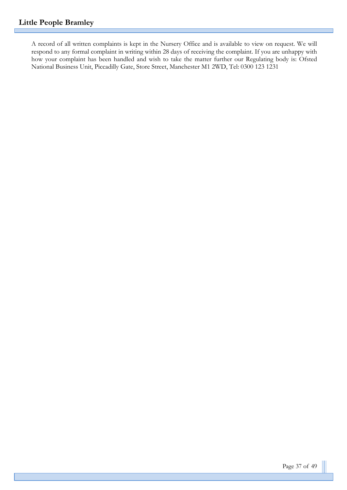A record of all written complaints is kept in the Nursery Office and is available to view on request. We will respond to any formal complaint in writing within 28 days of receiving the complaint. If you are unhappy with how your complaint has been handled and wish to take the matter further our Regulating body is: Ofsted National Business Unit, Piccadilly Gate, Store Street, Manchester M1 2WD, Tel: 0300 123 1231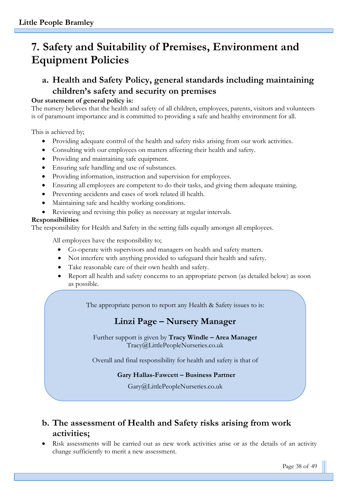# **7. Safety and Suitability of Premises, Environment and Equipment Policies**

# **a. Health and Safety Policy, general standards including maintaining children's safety and security on premises**

#### **Our statement of general policy is:**

The nursery believes that the health and safety of all children, employees, parents, visitors and volunteers is of paramount importance and is committed to providing a safe and healthy environment for all.

This is achieved by;

- Providing adequate control of the health and safety risks arising from our work activities.
- Consulting with our employees on matters affecting their health and safety.
- Providing and maintaining safe equipment.
- Ensuring safe handling and use of substances.
- Providing information, instruction and supervision for employees.
- Ensuring all employees are competent to do their tasks, and giving them adequate training.
- Preventing accidents and cases of work related ill health.
- Maintaining safe and healthy working conditions.
- Reviewing and revising this policy as necessary at regular intervals.

#### **Responsibilities**

The responsibility for Health and Safety in the setting falls equally amongst all employees.

All employees have the responsibility to;

- Co-operate with supervisors and managers on health and safety matters.
- Not interfere with anything provided to safeguard their health and safety.
- Take reasonable care of their own health and safety.
- Report all health and safety concerns to an appropriate person (as detailed below) as soon as possible.

The appropriate person to report any Health & Safety issues to is:

# **Linzi Page – Nursery Manager**

Further support is given by **Tracy Windle – Area Manager**  Tracy@LittlePeopleNurseries.co.uk

Overall and final responsibility for health and safety is that of

#### **Gary Hallas-Fawcett – Business Partner**

Gary@LittlePeopleNurseries.co.uk

# **b. The assessment of Health and Safety risks arising from work activities;**

• Risk assessments will be carried out as new work activities arise or as the details of an activity change sufficiently to merit a new assessment.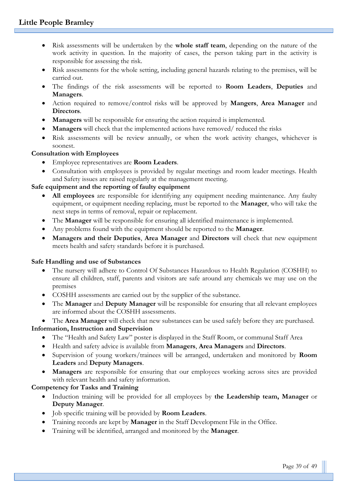- Risk assessments will be undertaken by the **whole staff team**, depending on the nature of the work activity in question. In the majority of cases, the person taking part in the activity is responsible for assessing the risk.
- Risk assessments for the whole setting, including general hazards relating to the premises, will be carried out.
- The findings of the risk assessments will be reported to **Room Leaders**, **Deputies** and **Managers**.
- Action required to remove/control risks will be approved by **Mangers**, **Area Manager** and **Directors**.
- **Managers** will be responsible for ensuring the action required is implemented.
- **Managers** will check that the implemented actions have removed/ reduced the risks
- Risk assessments will be review annually, or when the work activity changes, whichever is soonest.

## **Consultation with Employees**

- Employee representatives are **Room Leaders**.
- Consultation with employees is provided by regular meetings and room leader meetings. Health and Safety issues are raised regularly at the management meeting.

## **Safe equipment and the reporting of faulty equipment**

- **All employees** are responsible for identifying any equipment needing maintenance. Any faulty equipment, or equipment needing replacing, must be reported to the **Manager**, who will take the next steps in terms of removal, repair or replacement.
- The **Manager** will be responsible for ensuring all identified maintenance is implemented.
- Any problems found with the equipment should be reported to the **Manager**.
- **Managers and their Deputies**, **Area Manager** and **Directors** will check that new equipment meets health and safety standards before it is purchased.

### **Safe Handling and use of Substances**

- The nursery will adhere to Control Of Substances Hazardous to Health Regulation (COSHH) to ensure all children, staff, parents and visitors are safe around any chemicals we may use on the premises
- COSHH assessments are carried out by the supplier of the substance.
- The **Manager** and **Deputy Manager** will be responsible for ensuring that all relevant employees are informed about the COSHH assessments.

• The **Area Manager** will check that new substances can be used safely before they are purchased. **Information, Instruction and Supervision**

- The "Health and Safety Law" poster is displayed in the Staff Room, or communal Staff Area
- Health and safety advice is available from **Managers**, **Area Managers** and **Directors**.
- Supervision of young workers/trainees will be arranged, undertaken and monitored by **Room Leaders** and **Deputy Managers**.
- **Managers** are responsible for ensuring that our employees working across sites are provided with relevant health and safety information.

# **Competency for Tasks and Training**

- Induction training will be provided for all employees by **the Leadership team, Manager** or **Deputy Manager**.
- Job specific training will be provided by **Room Leaders**.
- Training records are kept by **Manager** in the Staff Development File in the Office.
- Training will be identified, arranged and monitored by the **Manager**.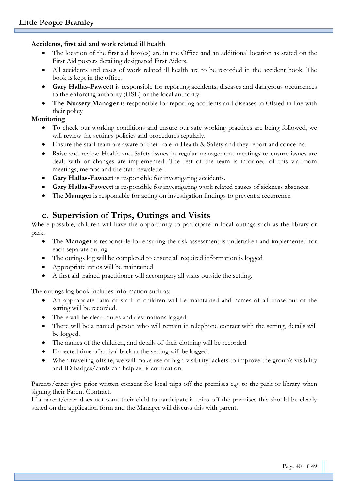#### **Accidents, first aid and work related ill health**

- The location of the first aid box(es) are in the Office and an additional location as stated on the First Aid posters detailing designated First Aiders.
- All accidents and cases of work related ill health are to be recorded in the accident book. The book is kept in the office.
- **Gary Hallas-Fawcett** is responsible for reporting accidents, diseases and dangerous occurrences to the enforcing authority (HSE) or the local authority.
- **The Nursery Manager** is responsible for reporting accidents and diseases to Ofsted in line with their policy

#### **Monitoring**

- To check our working conditions and ensure our safe working practices are being followed, we will review the settings policies and procedures regularly.
- Ensure the staff team are aware of their role in Health & Safety and they report and concerns.
- Raise and review Health and Safety issues in regular management meetings to ensure issues are dealt with or changes are implemented. The rest of the team is informed of this via room meetings, memos and the staff newsletter.
- **Gary Hallas-Fawcett** is responsible for investigating accidents.
- **Gary Hallas-Fawcett** is responsible for investigating work related causes of sickness absences.
- The **Manager** is responsible for acting on investigation findings to prevent a recurrence.

# **c. Supervision of Trips, Outings and Visits**

Where possible, children will have the opportunity to participate in local outings such as the library or park.

- The **Manager** is responsible for ensuring the risk assessment is undertaken and implemented for each separate outing
- The outings log will be completed to ensure all required information is logged
- Appropriate ratios will be maintained
- A first aid trained practitioner will accompany all visits outside the setting.

The outings log book includes information such as:

- An appropriate ratio of staff to children will be maintained and names of all those out of the setting will be recorded.
- There will be clear routes and destinations logged.
- There will be a named person who will remain in telephone contact with the setting, details will be logged.
- The names of the children, and details of their clothing will be recorded.
- Expected time of arrival back at the setting will be logged.
- When traveling offsite, we will make use of high-visibility jackets to improve the group's visibility and ID badges/cards can help aid identification.

Parents/carer give prior written consent for local trips off the premises e.g. to the park or library when signing their Parent Contract.

If a parent/carer does not want their child to participate in trips off the premises this should be clearly stated on the application form and the Manager will discuss this with parent.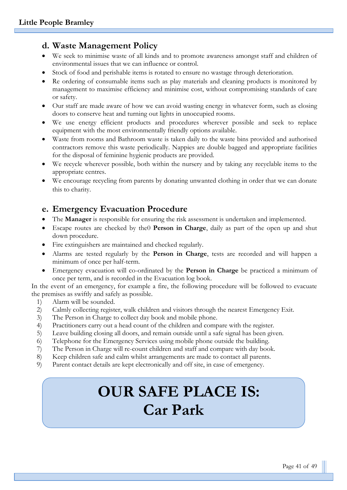# **d. Waste Management Policy**

- We seek to minimise waste of all kinds and to promote awareness amongst staff and children of environmental issues that we can influence or control.
- Stock of food and perishable items is rotated to ensure no wastage through deterioration.
- Re ordering of consumable items such as play materials and cleaning products is monitored by management to maximise efficiency and minimise cost, without compromising standards of care or safety.
- Our staff are made aware of how we can avoid wasting energy in whatever form, such as closing doors to conserve heat and turning out lights in unoccupied rooms.
- We use energy efficient products and procedures wherever possible and seek to replace equipment with the most environmentally friendly options available.
- Waste from rooms and Bathroom waste is taken daily to the waste bins provided and authorised contractors remove this waste periodically. Nappies are double bagged and appropriate facilities for the disposal of feminine hygienic products are provided.
- We recycle wherever possible, both within the nursery and by taking any recyclable items to the appropriate centres.
- We encourage recycling from parents by donating unwanted clothing in order that we can donate this to charity.

## **e. Emergency Evacuation Procedure**

- The **Manager** is responsible for ensuring the risk assessment is undertaken and implemented.
- Escape routes are checked by the0 **Person in Charge**, daily as part of the open up and shut down procedure.
- Fire extinguishers are maintained and checked regularly.
- Alarms are tested regularly by the **Person in Charge**, tests are recorded and will happen a minimum of once per half-term.
- Emergency evacuation will co-ordinated by the **Person in Charge** be practiced a minimum of once per term, and is recorded in the Evacuation log book.

In the event of an emergency, for example a fire, the following procedure will be followed to evacuate the premises as swiftly and safely as possible.

- 1) Alarm will be sounded.
- 2) Calmly collecting register, walk children and visitors through the nearest Emergency Exit.
- 3) The Person in Charge to collect day book and mobile phone.
- 4) Practitioners carry out a head count of the children and compare with the register.
- 5) Leave building closing all doors, and remain outside until a safe signal has been given.
- 6) Telephone for the Emergency Services using mobile phone outside the building.
- 7) The Person in Charge will re-count children and staff and compare with day book.
- 8) Keep children safe and calm whilst arrangements are made to contact all parents.
- 9) Parent contact details are kept electronically and off site, in case of emergency.

# **OUR SAFE PLACE IS: Car Park**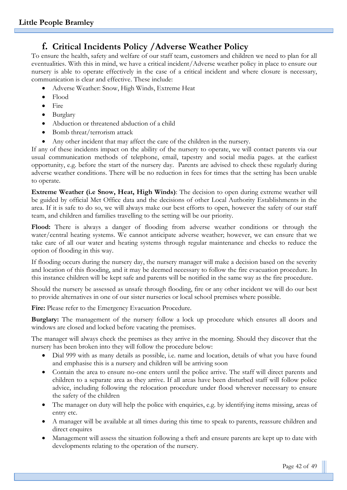# **f. Critical Incidents Policy /Adverse Weather Policy**

To ensure the health, safety and welfare of our staff team, customers and children we need to plan for all eventualities. With this in mind, we have a critical incident/Adverse weather policy in place to ensure our nursery is able to operate effectively in the case of a critical incident and where closure is necessary, communication is clear and effective. These include:

- Adverse Weather: Snow, High Winds, Extreme Heat
- Flood
- Fire
- Burglary
- Abduction or threatened abduction of a child
- Bomb threat/terrorism attack
- Any other incident that may affect the care of the children in the nursery.

If any of these incidents impact on the ability of the nursery to operate, we will contact parents via our usual communication methods of telephone, email, tapestry and social media pages. at the earliest opportunity, e.g. before the start of the nursery day. Parents are advised to check these regularly during adverse weather conditions. There will be no reduction in fees for times that the setting has been unable to operate.

**Extreme Weather (i.e Snow, Heat, High Winds)**: The decision to open during extreme weather will be guided by official Met Office data and the decisions of other Local Authority Establishments in the area. If it is safe to do so, we will always make our best efforts to open, however the safety of our staff team, and children and families travelling to the setting will be our priority.

Flood: There is always a danger of flooding from adverse weather conditions or through the water/central heating systems. We cannot anticipate adverse weather; however, we can ensure that we take care of all our water and heating systems through regular maintenance and checks to reduce the option of flooding in this way.

If flooding occurs during the nursery day, the nursery manager will make a decision based on the severity and location of this flooding, and it may be deemed necessary to follow the fire evacuation procedure. In this instance children will be kept safe and parents will be notified in the same way as the fire procedure.

Should the nursery be assessed as unsafe through flooding, fire or any other incident we will do our best to provide alternatives in one of our sister nurseries or local school premises where possible.

Fire: Please refer to the Emergency Evacuation Procedure.

**Burglary:** The management of the nursery follow a lock up procedure which ensures all doors and windows are closed and locked before vacating the premises.

The manager will always check the premises as they arrive in the morning. Should they discover that the nursery has been broken into they will follow the procedure below:

- Dial 999 with as many details as possible, i.e. name and location, details of what you have found and emphasise this is a nursery and children will be arriving soon
- Contain the area to ensure no-one enters until the police arrive. The staff will direct parents and children to a separate area as they arrive. If all areas have been disturbed staff will follow police advice, including following the relocation procedure under flood wherever necessary to ensure the safety of the children
- The manager on duty will help the police with enquiries, e.g. by identifying items missing, areas of entry etc.
- A manager will be available at all times during this time to speak to parents, reassure children and direct enquires
- Management will assess the situation following a theft and ensure parents are kept up to date with developments relating to the operation of the nursery.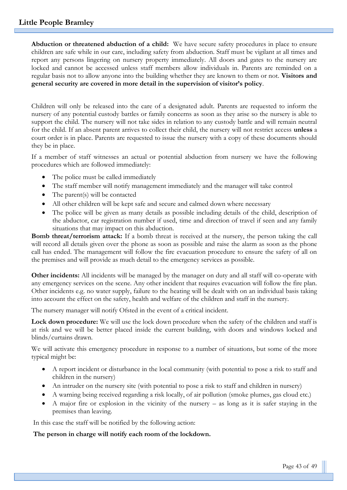**Abduction or threatened abduction of a child:** We have secure safety procedures in place to ensure children are safe while in our care, including safety from abduction. Staff must be vigilant at all times and report any persons lingering on nursery property immediately. All doors and gates to the nursery are locked and cannot be accessed unless staff members allow individuals in. Parents are reminded on a regular basis not to allow anyone into the building whether they are known to them or not. **Visitors and general security are covered in more detail in the supervision of visitor's policy**.

Children will only be released into the care of a designated adult. Parents are requested to inform the nursery of any potential custody battles or family concerns as soon as they arise so the nursery is able to support the child. The nursery will not take sides in relation to any custody battle and will remain neutral for the child. If an absent parent arrives to collect their child, the nursery will not restrict access **unless** a court order is in place. Parents are requested to issue the nursery with a copy of these documents should they be in place.

If a member of staff witnesses an actual or potential abduction from nursery we have the following procedures which are followed immediately:

- The police must be called immediately
- The staff member will notify management immediately and the manager will take control
- The parent(s) will be contacted
- All other children will be kept safe and secure and calmed down where necessary
- The police will be given as many details as possible including details of the child, description of the abductor, car registration number if used, time and direction of travel if seen and any family situations that may impact on this abduction.

**Bomb threat/terrorism attack:** If a bomb threat is received at the nursery, the person taking the call will record all details given over the phone as soon as possible and raise the alarm as soon as the phone call has ended. The management will follow the fire evacuation procedure to ensure the safety of all on the premises and will provide as much detail to the emergency services as possible.

**Other incidents:** All incidents will be managed by the manager on duty and all staff will co-operate with any emergency services on the scene. Any other incident that requires evacuation will follow the fire plan. Other incidents e.g. no water supply, failure to the heating will be dealt with on an individual basis taking into account the effect on the safety, health and welfare of the children and staff in the nursery.

The nursery manager will notify Ofsted in the event of a critical incident.

**Lock down procedure:** We will use the lock down procedure when the safety of the children and staff is at risk and we will be better placed inside the current building, with doors and windows locked and blinds/curtains drawn.

We will activate this emergency procedure in response to a number of situations, but some of the more typical might be:

- A report incident or disturbance in the local community (with potential to pose a risk to staff and children in the nursery)
- An intruder on the nursery site (with potential to pose a risk to staff and children in nursery)
- A warning being received regarding a risk locally, of air pollution (smoke plumes, gas cloud etc.)
- A major fire or explosion in the vicinity of the nursery as long as it is safer staying in the premises than leaving.

In this case the staff will be notified by the following action:

#### **The person in charge will notify each room of the lockdown.**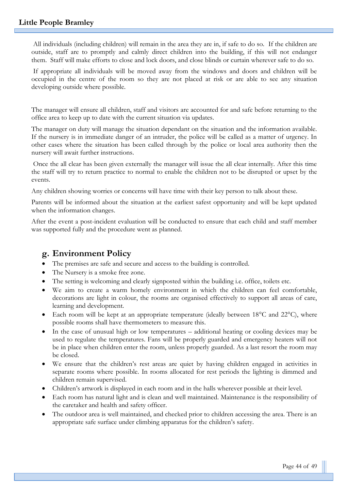All individuals (including children) will remain in the area they are in, if safe to do so. If the children are outside, staff are to promptly and calmly direct children into the building, if this will not endanger them. Staff will make efforts to close and lock doors, and close blinds or curtain wherever safe to do so.

If appropriate all individuals will be moved away from the windows and doors and children will be occupied in the centre of the room so they are not placed at risk or are able to see any situation developing outside where possible.

The manager will ensure all children, staff and visitors are accounted for and safe before returning to the office area to keep up to date with the current situation via updates.

The manager on duty will manage the situation dependant on the situation and the information available. If the nursery is in immediate danger of an intruder, the police will be called as a matter of urgency. In other cases where the situation has been called through by the police or local area authority then the nursery will await further instructions.

Once the all clear has been given externally the manager will issue the all clear internally. After this time the staff will try to return practice to normal to enable the children not to be disrupted or upset by the events.

Any children showing worries or concerns will have time with their key person to talk about these.

Parents will be informed about the situation at the earliest safest opportunity and will be kept updated when the information changes.

After the event a post-incident evaluation will be conducted to ensure that each child and staff member was supported fully and the procedure went as planned.

### **g. Environment Policy**

- The premises are safe and secure and access to the building is controlled.
- The Nursery is a smoke free zone.
- The setting is welcoming and clearly signposted within the building i.e. office, toilets etc.
- We aim to create a warm homely environment in which the children can feel comfortable, decorations are light in colour, the rooms are organised effectively to support all areas of care, learning and development.
- Each room will be kept at an appropriate temperature (ideally between  $18^{\circ}$ C and  $22^{\circ}$ C), where possible rooms shall have thermometers to measure this.
- In the case of unusual high or low temperatures additional heating or cooling devices may be used to regulate the temperatures. Fans will be properly guarded and emergency heaters will not be in place when children enter the room, unless properly guarded. As a last resort the room may be closed.
- We ensure that the children's rest areas are quiet by having children engaged in activities in separate rooms where possible. In rooms allocated for rest periods the lighting is dimmed and children remain supervised.
- Children's artwork is displayed in each room and in the halls wherever possible at their level.
- Each room has natural light and is clean and well maintained. Maintenance is the responsibility of the caretaker and health and safety officer.
- The outdoor area is well maintained, and checked prior to children accessing the area. There is an appropriate safe surface under climbing apparatus for the children's safety.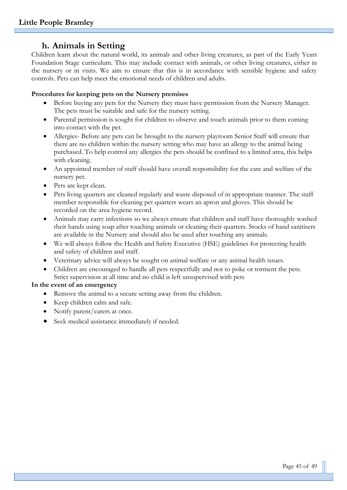# **h. Animals in Setting**

Children learn about the natural world, its animals and other living creatures, as part of the Early Years Foundation Stage curriculum. This may include contact with animals, or other living creatures, either in the nursery or in visits. We aim to ensure that this is in accordance with sensible hygiene and safety controls. Pets can help meet the emotional needs of children and adults.

#### **Procedures for keeping pets on the Nursery premises**

- Before buying any pets for the Nursery they must have permission from the Nursery Manager. The pets must be suitable and safe for the nursery setting.
- Parental permission is sought for children to observe and touch animals prior to them coming into contact with the pet.
- Allergies- Before any pets can be brought to the nursery playroom Senior Staff will ensure that there are no children within the nursery setting who may have an allergy to the animal being purchased. To help control any allergies the pets should be confined to a limited area, this helps with cleaning.
- An appointed member of staff should have overall responsibility for the care and welfare of the nursery pet.
- Pets are kept clean.
- Pets living quarters are cleaned regularly and waste disposed of in appropriate manner. The staff member responsible for cleaning pet quarters wears an apron and gloves. This should be recorded on the area hygiene record.
- Animals may carry infections so we always ensure that children and staff have thoroughly washed their hands using soap after touching animals or cleaning their quarters. Stocks of hand sanitisers are available in the Nursery and should also be used after touching any animals.
- We will always follow the Health and Safety Executive (HSE) guidelines for protecting health and safety of children and staff.
- Veterinary advice will always be sought on animal welfare or any animal health issues.
- Children are encouraged to handle all pets respectfully and not to poke or torment the pets. Strict supervision at all time and no child is left unsupervised with pets

#### **In the event of an emergency**

- Remove the animal to a secure setting away from the children.
- Keep children calm and safe.
- Notify parent/carers at once.
- Seek medical assistance immediately if needed.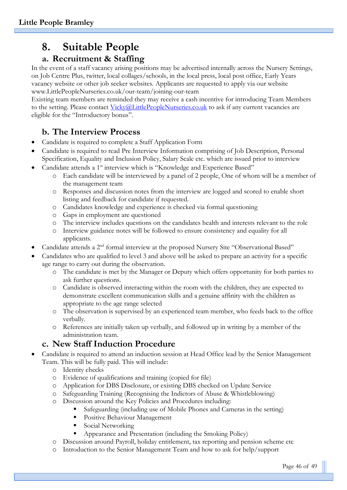# **8. Suitable People**

# **a. Recruitment & Staffing**

In the event of a staff vacancy arising positions may be advertised internally across the Nursery Settings, on Job Centre Plus, twitter, local collages/schools, in the local press, local post office, Early Years vacancy website or other job seeker websites. Applicants are requested to apply via our website www.LittlePeopleNurseries.co.uk/our-team/joining-our-team

Existing team members are reminded they may receive a cash incentive for introducing Team Members to the setting. Please contact [Vicky@LittlePeopleNurseries.co.uk](mailto:Vicky@LittlePeopleNurseries.co.uk) to ask if any current vacancies are eligible for the "Introductory bonus".

# **b. The Interview Process**

- Candidate is required to complete a Staff Application Form
- Candidate is required to read Pre Interview Information comprising of Job Description, Personal Specification, Equality and Inclusion Policy, Salary Scale etc. which are issued prior to interview
- Candidate attends a 1<sup>st</sup> interview which is "Knowledge and Experience Based"
	- o Each candidate will be interviewed by a panel of 2 people, One of whom will be a member of the management team
	- o Responses and discussion notes from the interview are logged and scored to enable short listing and feedback for candidate if requested.
	- o Candidates knowledge and experience is checked via formal questioning
	- o Gaps in employment are questioned
	- o The interview includes questions on the candidates health and interests relevant to the role
	- o Interview guidance notes will be followed to ensure consistency and equality for all applicants.
- Candidate attends a 2nd formal interview at the proposed Nursery Site "Observational Based"
- Candidates who are qualified to level 3 and above will be asked to prepare an activity for a specific age range to carry out during the observation.
	- o The candidate is met by the Manager or Deputy which offers opportunity for both parties to ask further questions.
	- o Candidate is observed interacting within the room with the children, they are expected to demonstrate excellent communication skills and a genuine affinity with the children as appropriate to the age range selected
	- o The observation is supervised by an experienced team member, who feeds back to the office verbally.
	- o References are initially taken up verbally, and followed up in writing by a member of the administration team.

# **c. New Staff Induction Procedure**

- Candidate is required to attend an induction session at Head Office lead by the Senior Management Team. This will be fully paid. This will include:
	- o Identity checks
	- o Evidence of qualifications and training (copied for file)
	- o Application for DBS Disclosure, or existing DBS checked on Update Service
	- o Safeguarding Training (Recognising the Indictors of Abuse & Whistleblowing)
	- o Discussion around the Key Policies and Procedures including:
		- Safeguarding (including use of Mobile Phones and Cameras in the setting)
		- **•** Positive Behaviour Management
		- Social Networking
		- Appearance and Presentation (including the Smoking Policy)
	- o Discussion around Payroll, holiday entitlement, tax reporting and pension scheme etc
	- o Introduction to the Senior Management Team and how to ask for help/support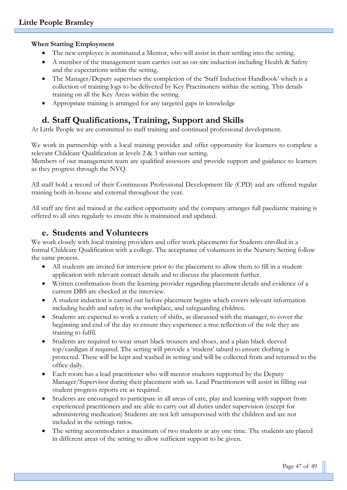#### **When Starting Employment**

- The new employee is nominated a Mentor, who will assist in their settling into the setting.
- A member of the management team carries out an on-site induction including Health & Safety and the expectations within the setting.
- The Manager/Deputy supervises the completion of the 'Staff Induction Handbook' which is a collection of training logs to be delivered by Key Practitioners within the setting. This details training on all the Key Areas within the setting.
- Appropriate training is arranged for any targeted gaps in knowledge

# **d. Staff Qualifications, Training, Support and Skills**

At Little People we are committed to staff training and continued professional development.

We work in partnership with a local training provider and offer opportunity for learners to complete a relevant Childcare Qualification at levels 2 & 3 within our setting.

Members of our management team are qualified assessors and provide support and guidance to learners as they progress through the NVQ.

All staff hold a record of their Continuous Professional Development file (CPD) and are offered regular training both in-house and external throughout the year.

All staff are first aid trained at the earliest opportunity and the company arranges full paediatric training is offered to all sites regularly to ensure this is maintained and updated.

## **e. Students and Volunteers**

We work closely with local training providers and offer work placements for Students enrolled in a formal Childcare Qualification with a college. The acceptance of volunteers in the Nursery Setting follow the same process.

- All students are invited for interview prior to the placement to allow them to fill in a student application with relevant contact details and to discuss the placement further.
- Written confirmation from the learning provider regarding placement details and evidence of a current DBS are checked at the interview.
- A student induction is carried out before placement begins which covers relevant information including health and safety in the workplace, and safeguarding children.
- Students are expected to work a variety of shifts, as discussed with the manager, to cover the beginning and end of the day to ensure they experience a true reflection of the role they are training to fulfil.
- Students are required to wear smart black trousers and shoes, and a plain black sleeved top/cardigan if required. The setting will provide a 'student' tabard to ensure clothing is protected. These will be kept and washed in setting and will be collected from and returned to the office daily.
- Each room has a lead practitioner who will mentor students supported by the Deputy Manager/Supervisor during their placement with us. Lead Practitioners will assist in filling out student progress reports etc as required.
- Students are encouraged to participate in all areas of care, play and learning with support from experienced practitioners and are able to carry out all duties under supervision (except for administering medication) Students are not left unsupervised with the children and are not included in the settings ratios.
- The setting accommodates a maximum of two students at any one time. The students are placed in different areas of the setting to allow sufficient support to be given.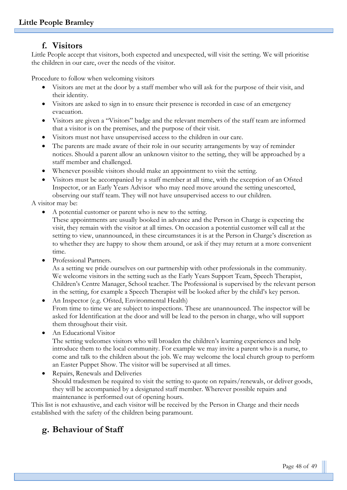## **f. Visitors**

Little People accept that visitors, both expected and unexpected, will visit the setting. We will prioritise the children in our care, over the needs of the visitor.

Procedure to follow when welcoming visitors

- Visitors are met at the door by a staff member who will ask for the purpose of their visit, and their identity.
- Visitors are asked to sign in to ensure their presence is recorded in case of an emergency evacuation.
- Visitors are given a "Visitors" badge and the relevant members of the staff team are informed that a visitor is on the premises, and the purpose of their visit.
- Visitors must not have unsupervised access to the children in our care.
- The parents are made aware of their role in our security arrangements by way of reminder notices. Should a parent allow an unknown visitor to the setting, they will be approached by a staff member and challenged.
- Whenever possible visitors should make an appointment to visit the setting.
- Visitors must be accompanied by a staff member at all time, with the exception of an Ofsted Inspector, or an Early Years Advisor who may need move around the setting unescorted, observing our staff team. They will not have unsupervised access to our children.

A visitor may be:

• A potential customer or parent who is new to the setting.

These appointments are usually booked in advance and the Person in Charge is expecting the visit, they remain with the visitor at all times. On occasion a potential customer will call at the setting to view, unannounced, in these circumstances it is at the Person in Charge's discretion as to whether they are happy to show them around, or ask if they may return at a more convenient time.

Professional Partners.

As a setting we pride ourselves on our partnership with other professionals in the community. We welcome visitors in the setting such as the Early Years Support Team, Speech Therapist, Children's Centre Manager, School teacher. The Professional is supervised by the relevant person in the setting, for example a Speech Therapist will be looked after by the child's key person.

• An Inspector (e.g. Ofsted, Environmental Health) From time to time we are subject to inspections. These are unannounced. The inspector will be asked for Identification at the door and will be lead to the person in charge, who will support them throughout their visit.

• An Educational Visitor

The setting welcomes visitors who will broaden the children's learning experiences and help introduce them to the local community. For example we may invite a parent who is a nurse, to come and talk to the children about the job. We may welcome the local church group to perform an Easter Puppet Show. The visitor will be supervised at all times.

• Repairs, Renewals and Deliveries Should tradesmen be required to visit the setting to quote on repairs/renewals, or deliver goods, they will be accompanied by a designated staff member. Wherever possible repairs and maintenance is performed out of opening hours.

This list is not exhaustive, and each visitor will be received by the Person in Charge and their needs established with the safety of the children being paramount.

# **g. Behaviour of Staff**